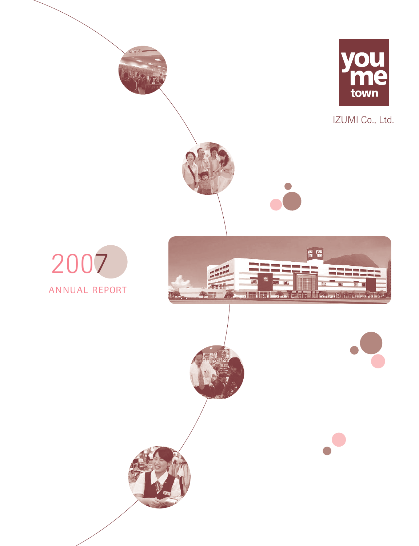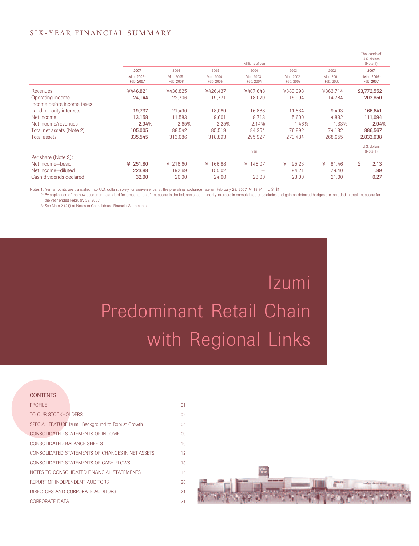#### S IX-YEAR FINANCIAL SUMMARY

|                                                |                         |                         |                         | Millions of yen         |                         |                         | Thousands of<br>U.S. dollars<br>(Note 1) |
|------------------------------------------------|-------------------------|-------------------------|-------------------------|-------------------------|-------------------------|-------------------------|------------------------------------------|
|                                                | 2007                    | 2006                    | 2005                    | 2004                    | 2003                    | 2002                    | 2007                                     |
|                                                | Mar. 2006-<br>Feb. 2007 | Mar. 2005-<br>Feb. 2006 | Mar. 2004-<br>Feb. 2005 | Mar. 2003-<br>Feb. 2004 | Mar. 2002-<br>Feb. 2003 | Mar. 2001-<br>Feb. 2002 | $-Mar. 2006-$<br>Feb. 2007               |
| Revenues                                       | ¥446,821                | ¥436.825                | ¥426.437                | ¥407.648                | ¥383.098                | ¥363.714                | \$3,772,552                              |
| Operating income<br>Income before income taxes | 24,144                  | 22,706                  | 19,771                  | 18,079                  | 15,994                  | 14,784                  | 203,850                                  |
| and minority interests                         | 19,737                  | 21,490                  | 18,089                  | 16,888                  | 11,834                  | 9,493                   | 166,641                                  |
| Net income                                     | 13,158                  | 11,583                  | 9,601                   | 8,713                   | 5.600                   | 4,832                   | 111,094                                  |
| Net income/revenues                            | 2.94%                   | 2.65%                   | 2.25%                   | 2.14%                   | 1.46%                   | 1.33%                   | 2.94%                                    |
| Total net assets (Note 2)                      | 105,005                 | 88,542                  | 85,519                  | 84,354                  | 76,892                  | 74,132                  | 886,567                                  |
| <b>Total assets</b>                            | 335,545                 | 313,086                 | 318,893                 | 295,927                 | 273,484                 | 268,655                 | 2,833,038                                |
|                                                |                         |                         |                         | Yen                     |                         |                         | U.S. dollars<br>(Note 1)                 |
| Per share (Note 3):                            |                         |                         |                         |                         |                         |                         |                                          |
| Net income-basic                               | ¥ $251.80$              | ¥ 216.60                | ¥ 166.88                | ¥ 148.07                | 95.23<br>¥              | ¥<br>81.46              | \$<br>2.13                               |
| Net income-diluted                             | 223.88                  | 192.69                  | 155.02                  |                         | 94.21                   | 79.40                   | 1.89                                     |
| Cash dividends declared                        | 32.00                   | 26.00                   | 24.00                   | 23.00                   | 23.00                   | 21.00                   | 0.27                                     |

Notes 1: Yen amounts are translated into U.S. dollars, solely for convenience, at the prevailing exchange rate on February 28, 2007, ¥118.44 = U.S. \$1.

2: By application of the new accounting standard for presentation of net assets in the balance sheet, minority interests in consolidated subsidiaries and gain on deferred hedges are included in total net assets for the year ended February 28, 2007.

3: See Note 2 (21) of Notes to Consolidated Financial Statements.

# Izumi Predominant Retail Chain with Regional Links

#### **CONTENTS** PROFILE **Department of the Contract Contract Contract Contract Contract Contract Contract Contract Contract Contract Contract Contract Contract Contract Contract Contract Contract Contract Contract Contract Contract Contra** TO OUR STOCKHOLDERS 02 SPECIAL FEATURE Izumi: Background to Robust Growth 04 CONSOLIDATED STATEMENTS OF INCOME 09 CONSOLIDATED BALANCE SHEETS 10 CONSOLIDATED STATEMENTS OF CHANGES IN NET ASSETS 12 CONSOLIDATED STATEMENTS OF CASH FLOWS 13 NOTES TO CONSOLIDATED FINANCIAL STATEMENTS 14 REPORT OF INDEPENDENT AUDITORS 20 DIRECTORS AND CORPORATE AUDITORS 21 CORPORATE DATA 21

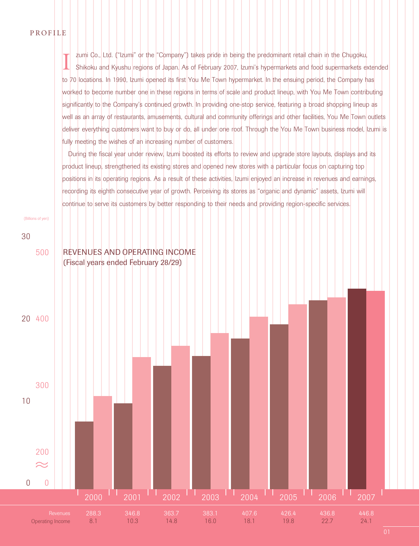#### P ROFILE

I zumi Co., Ltd. ("Izumi" or the "Company") takes pride in being the predominant retail chain in the Chugoku, Shikoku and Kyushu regions of Japan. As of February 2007, Izumi's hypermarkets and food supermarkets extended to 70 locations. In 1990, Izumi opened its first You Me Town hypermarket. In the ensuing period, the Company has worked to become number one in these regions in terms of scale and product lineup, with You Me Town contributing significantly to the Company's continued growth. In providing one-stop service, featuring a broad shopping lineup as well as an array of restaurants, amusements, cultural and community offerings and other facilities, You Me Town outlets deliver everything customers want to buy or do, all under one roof. Through the You Me Town business model, Izumi is fully meeting the wishes of an increasing number of customers.

During the fiscal year under review, Izumi boosted its efforts to review and upgrade store layouts, displays and its product lineup, strengthened its existing stores and opened new stores with a particular focus on capturing top positions in its operating regions. As a result of these activities, Izumi enjoyed an increase in revenues and earnings, recording its eighth consecutive year of growth. Perceiving its stores as "organic and dynamic" assets, Izumi will continue to serve its customers by better responding to their needs and providing region-specific services.

(Billions of yen)

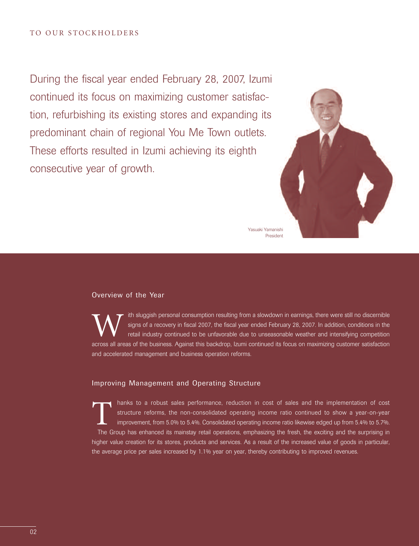During the fiscal year ended February 28, 2007, Izumi continued its focus on maximizing customer satisfaction, refurbishing its existing stores and expanding its predominant chain of regional You Me Town outlets. These efforts resulted in Izumi achieving its eighth consecutive year of growth.



Yasuaki Yamanishi President

#### Overview of the Year

If th sluggish personal consumption resulting from a slowdown in earnings, there were still no discernible<br>signs of a recovery in fiscal 2007, the fiscal year ended February 28, 2007. In addition, conditions in the<br>retail signs of a recovery in fiscal 2007, the fiscal year ended February 28, 2007. In addition, conditions in the retail industry continued to be unfavorable due to unseasonable weather and intensifying competition across all areas of the business. Against this backdrop, Izumi continued its focus on maximizing customer satisfaction and accelerated management and business operation reforms.

#### Improving Management and Operating Structure

Thanks to a robust sales performance, reduction in cost of sales and the implementation of cost structure reforms, the non-consolidated operating income ratio continued to show a year-on-year improvement, from 5.0% to 5.4%. Consolidated operating income ratio likewise edged up from 5.4% to 5.7%. The Group has enhanced its mainstay retail operations, emphasizing the fresh, the exciting and the surprising in higher value creation for its stores, products and services. As a result of the increased value of goods in particular, the average price per sales increased by 1.1% year on year, thereby contributing to improved revenues.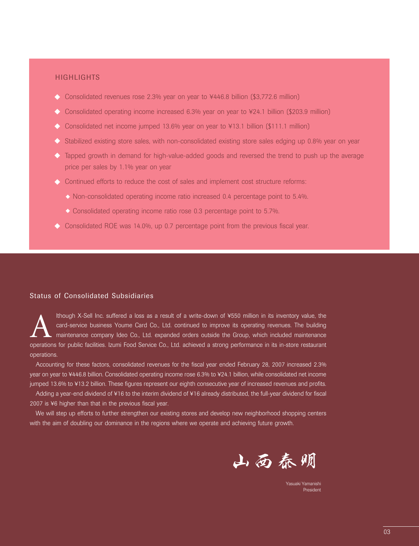#### **HIGHLIGHTS**

- ◆ Consolidated revenues rose 2.3% year on year to ¥446.8 billion (\$3,772.6 million)
- ◆ Consolidated operating income increased 6.3% year on year to ¥24.1 billion (\$203.9 million)
- ◆ Consolidated net income jumped 13.6% year on year to ¥13.1 billion (\$111.1 million)
- $\triangle$  Stabilized existing store sales, with non-consolidated existing store sales edging up 0.8% year on year
- $\triangleright$  Tapped growth in demand for high-value-added goods and reversed the trend to push up the average price per sales by 1.1% year on year
- Continued efforts to reduce the cost of sales and implement cost structure reforms:
	- $\lozenge$  Non-consolidated operating income ratio increased 0.4 percentage point to 5.4%.
	- Consolidated operating income ratio rose 0.3 percentage point to 5.7%.
- Consolidated ROE was 14.0%, up 0.7 percentage point from the previous fiscal year.

#### Status of Consolidated Subsidiaries

Ithough X-Sell Inc. suffered a loss as a result of a write-down of ¥550 million in its inventory value, the<br>card-service business Youme Card Co., Ltd. continued to improve its operating revenues. The building<br>maintenance c card-service business Youme Card Co., Ltd. continued to improve its operating revenues. The building maintenance company Ideo Co., Ltd. expanded orders outside the Group, which included maintenance operations for public facilities. Izumi Food Service Co., Ltd. achieved a strong performance in its in-store restaurant operations.

Accounting for these factors, consolidated revenues for the fiscal year ended February 28, 2007 increased 2.3% year on year to ¥446.8 billion. Consolidated operating income rose 6.3% to ¥24.1 billion, while consolidated net income jumped 13.6% to ¥13.2 billion. These figures represent our eighth consecutive year of increased revenues and profits.

Adding a year-end dividend of ¥16 to the interim dividend of ¥16 already distributed, the full-year dividend for fiscal 2007 is ¥6 higher than that in the previous fiscal year.

We will step up efforts to further strengthen our existing stores and develop new neighborhood shopping centers with the aim of doubling our dominance in the regions where we operate and achieving future growth.



Yasuaki Yamanish President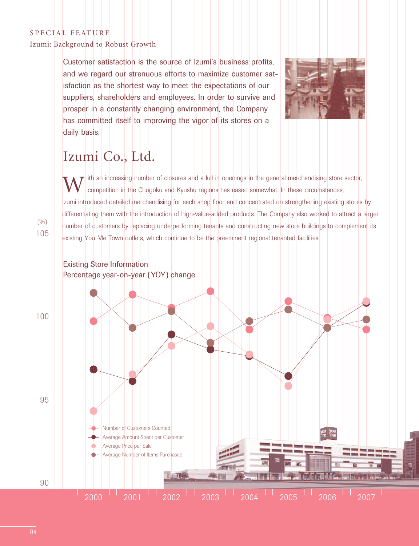#### S PECIAL FEATURE

Izumi: Background to Robust Growth

Customer satisfaction is the source of Izumi's business profits, and we regard our strenuous efforts to maximize customer satisfaction as the shortest way to meet the expectations of our suppliers, shareholders and employees. In order to survive and prosper in a constantly changing environment, the Company has committed itself to improving the vigor of its stores on a daily basis.



## Izumi Co., Ltd.

ith an increasing number of closures and a lull in openings in the general merchandising store sector, competition in the Chugoku and Kyushu regions has eased somewhat. In these circumstances, Izumi introduced detailed merchandising for each shop floor and concentrated on strengthening existing stores by differentiating them with the introduction of high-value-added products. The Company also worked to attract a larger number of customers by replacing underperforming tenants and constructing new store buildings to complement its existing You Me Town outlets, which continue to be the preeminent regional tenanted facilities.

105  $(0/0)$ 

#### Existing Store Information Percentage year-on-year (YOY) change

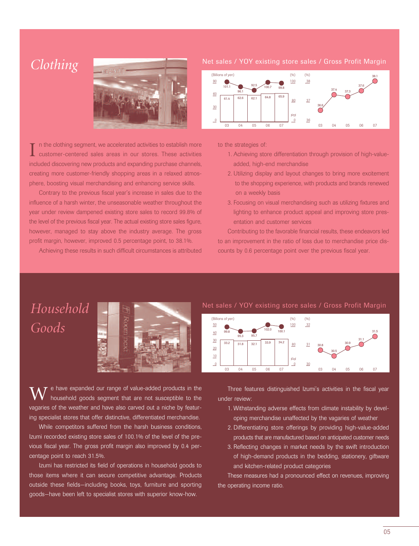

I n the clothing segment, we accelerated activities to establish more<br>customer-centered sales areas in our stores. These activities included discovering new products and expanding purchase channels, creating more customer-friendly shopping areas in a relaxed atmosphere, boosting visual merchandising and enhancing service skills.

Contrary to the previous fiscal year's increase in sales due to the influence of a harsh winter, the unseasonable weather throughout the year under review dampened existing store sales to record 99.8% of the level of the previous fiscal year. The actual existing store sales figure, however, managed to stay above the industry average. The gross profit margin, however, improved 0.5 percentage point, to 38.1%.

Achieving these results in such difficult circumstances is attributed





to the strategies of:

- 1. Achieving store differentiation through provision of high-valueadded, high-end merchandise
- 2. Utilizing display and layout changes to bring more excitement to the shopping experience, with products and brands renewed on a weekly basis
- 3. Focusing on visual merchandising such as utilizing fixtures and lighting to enhance product appeal and improving store presentation and customer services

Contributing to the favorable financial results, these endeavors led to an improvement in the ratio of loss due to merchandise price discounts by 0.6 percentage point over the previous fiscal year.

## *Household Goods*



 $\overline{\tau}$  e have expanded our range of value-added products in the household goods segment that are not susceptible to the vagaries of the weather and have also carved out a niche by featuring specialist stores that offer distinctive, differentiated merchandise.

While competitors suffered from the harsh business conditions, Izumi recorded existing store sales of 100.1% of the level of the previous fiscal year. The gross profit margin also improved by 0.4 percentage point to reach 31.5%.

Izumi has restricted its field of operations in household goods to those items where it can secure competitive advantage. Products outside these fields—including books, toys, furniture and sporting goods—have been left to specialist stores with superior know-how.

Net sales / YOY existing store sales / Gross Profit Margin



Three features distinguished Izumi's activities in the fiscal year under review:

- 1. Withstanding adverse effects from climate instability by developing merchandise unaffected by the vagaries of weather
- 2. Differentiating store offerings by providing high-value-added products that are manufactured based on anticipated customer needs
- 3. Reflecting changes in market needs by the swift introduction of high-demand products in the bedding, stationery, giftware and kitchen-related product categories

These measures had a pronounced effect on revenues, improving the operating income ratio.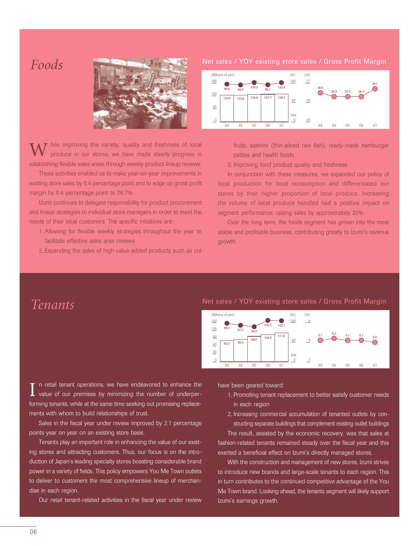

 $\boldsymbol{W}$  hile improving the variety, quality and freshness of local produce in our stores, we have made steady progress in establishing flexible sales areas through weekly product lineup reviews.

These activities enabled us to make year-on-year improvements in existing store sales by 0.4 percentage point and to edge up gross profit margin by 0.4 percentage point to 26.7%.

Izumi continues to delegate responsibility for product procurement and lineup strategies to individual store managers in order to meet the needs of their local customers. The specific initiatives are:

- 1. Allowing for flexible weekly strategies throughout the year to facilitate effective sales area reviews
- 2. Expanding the sales of high-value-added products such as cut



fruits, sashimi (thin-sliced raw fish), ready-made hamburger patties and health foods

3. Improving food product quality and freshness

In conjunction with these measures, we expanded our policy of local production for local consumption and differentiated our stores by their higher proportion of local produce. Increasing the volume of local produce handled had a positive impact on segment performance, raising sales by approximately 20%.

Over the long term, the foods segment has grown into the most stable and profitable business, contributing greatly to Izumi's revenue growth.

### *Tenants*

#### Net sales / YOY existing store sales / Gross Profit Margin



I in retail tenant operations, we have endeavored to enhance the value of our premises by minimizing the number of underperforming tenants, while at the same time seeking out promising replacements with whom to build relationships of trust.

Sales in the fiscal year under review improved by 2.1 percentage points year on year on an existing store basis.

Tenants play an important role in enhancing the value of our existing stores and attracting customers. Thus, our focus is on the introduction of Japan's leading specialty stores boasting considerable brand power in a variety of fields. This policy empowers You Me Town outlets to deliver to customers the most comprehensive lineup of merchandise in each region.

Our retail tenant-related activities in the fiscal year under review

have been geared toward:

- 1. Promoting tenant replacement to better satisfy customer needs in each region
- 2. Increasing commercial accumulation of tenanted outlets by constructing separate buildings that complement existing outlet buildings

The result, assisted by the economic recovery, was that sales at fashion-related tenants remained steady over the fiscal year and this exerted a beneficial effect on Izumi's directly managed stores.

With the construction and management of new stores, Izumi strives to introduce new brands and large-scale tenants to each region. This in turn contributes to the continued competitive advantage of the You Me Town brand. Looking ahead, the tenants segment will likely support Izumi's earnings growth.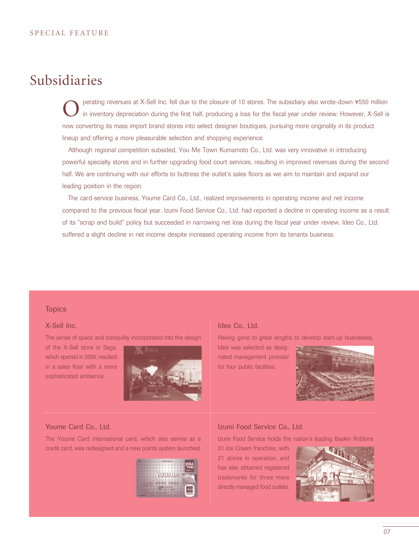### Subsidiaries

perating revenues at X-Sell Inc. fell due to the closure of 10 stores. The subsidiary also wrote-down ¥550 million in inventory depreciation during the first half, producing a loss for the fiscal year under review. However, X-Sell is now converting its mass import brand stores into select designer boutiques, pursuing more originality in its product lineup and offering a more pleasurable selection and shopping experience.

Although regional competition subsided, You Me Town Kumamoto Co., Ltd. was very innovative in introducing powerful specialty stores and in further upgrading food court services, resulting in improved revenues during the second half. We are continuing with our efforts to buttress the outlet's sales floors as we aim to maintain and expand our leading position in the region.

The card-service business, Youme Card Co., Ltd., realized improvements in operating income and net income compared to the previous fiscal year. Izumi Food Service Co., Ltd. had reported a decline in operating income as a result of its "scrap and build" policy but succeeded in narrowing net loss during the fiscal year under review. Ideo Co., Ltd. suffered a slight decline in net income despite increased operating income from its tenants business.

#### **Topics**

#### X-Sell Inc.

The sense of space and tranquility incorporated into the design

of the X-Sell store in Saga, which opened in 2006, resulted in a sales floor with a more sophisticated ambience.



#### Youme Card Co., Ltd.

The Youme Card international card, which also serves as a credit card, was redesigned and a new points system launched.



#### Ideo Co., Ltd.

Having gone to great lengths to develop start-up businesses,

Ideo was selected as designated management provider for four public facilities.



#### Izumi Food Service Co., Ltd.

Izumi Food Service holds the nation's leading Baskin Robbins

31 Ice Cream franchise, with 21 stores in operation, and has also obtained registered trademarks for three more directly managed food outlets.

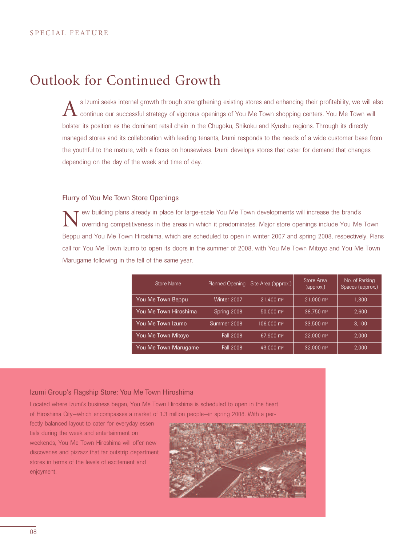### Outlook for Continued Growth

s Izumi seeks internal growth through strengthening existing stores and enhancing their profitability, we will also continue our successful strategy of vigorous openings of You Me Town shopping centers. You Me Town will bolster its position as the dominant retail chain in the Chugoku, Shikoku and Kyushu regions. Through its directly managed stores and its collaboration with leading tenants, Izumi responds to the needs of a wide customer base from the youthful to the mature, with a focus on housewives. Izumi develops stores that cater for demand that changes depending on the day of the week and time of day.

#### Flurry of You Me Town Store Openings

New building plans already in place for large-scale You Me Town developments will increase the brand's overriding competitiveness in the areas in which it predominates. Major store openings include You Me Town Beppu and You Me Town Hiroshima, which are scheduled to open in winter 2007 and spring 2008, respectively. Plans call for You Me Town Izumo to open its doors in the summer of 2008, with You Me Town Mitoyo and You Me Town Marugame following in the fall of the same year.

| Store Name            | Planned Opening  | Site Area (approx.)   | Store Area<br>(approx.) | No. of Parking<br>Spaces (approx.) |
|-----------------------|------------------|-----------------------|-------------------------|------------------------------------|
| You Me Town Beppu     | Winter 2007      | $21.400 \text{ m}^2$  | $21.000 \text{ m}^2$    | 1.300                              |
| You Me Town Hiroshima | Spring 2008      | 50,000 $m2$           | 38.750 m <sup>2</sup>   | 2.600                              |
| You Me Town Izumo     | Summer 2008      | 106,000 $m2$          | 33.500 $m2$             | 3.100                              |
| You Me Town Mitoyo    | <b>Fall 2008</b> | 67.900 m <sup>2</sup> | $22.000 \text{ m}^2$    | 2.000                              |
| You Me Town Marugame  | <b>Fall 2008</b> | 43.000 m <sup>2</sup> | 32.000 $m2$             | 2.000                              |

#### Izumi Group's Flagship Store: You Me Town Hiroshima

Located where Izumi's business began, You Me Town Hiroshima is scheduled to open in the heart of Hiroshima City—which encompasses a market of 1.3 million people—in spring 2008. With a per-

fectly balanced layout to cater for everyday essentials during the week and entertainment on weekends, You Me Town Hiroshima will offer new discoveries and pizzazz that far outstrip department stores in terms of the levels of excitement and enjoyment.

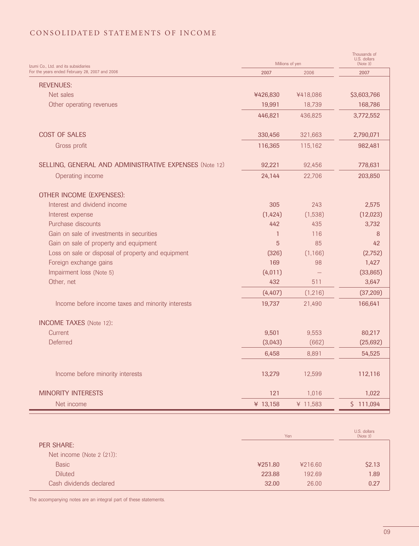### C ONSOLIDATED STATEMENTS OF INCOME

| Izumi Co., Ltd. and its subsidiaries                   | Millions of yen |          | Thousands of<br>U.S. dollars<br>(Note 3) |
|--------------------------------------------------------|-----------------|----------|------------------------------------------|
| For the years ended February 28, 2007 and 2006         | 2007            | 2006     | 2007                                     |
| <b>REVENUES:</b>                                       |                 |          |                                          |
| Net sales                                              | ¥426,830        | ¥418,086 | \$3,603,766                              |
| Other operating revenues                               | 19,991          | 18,739   | 168,786                                  |
|                                                        | 446,821         | 436,825  | 3,772,552                                |
| <b>COST OF SALES</b>                                   | 330,456         | 321,663  | 2,790,071                                |
| Gross profit                                           | 116,365         | 115,162  | 982,481                                  |
| SELLING, GENERAL AND ADMINISTRATIVE EXPENSES (Note 12) | 92,221          | 92,456   | 778,631                                  |
| Operating income                                       | 24,144          | 22,706   | 203,850                                  |
| OTHER INCOME (EXPENSES):                               |                 |          |                                          |
| Interest and dividend income                           | 305             | 243      | 2,575                                    |
| Interest expense                                       | (1,424)         | (1,538)  | (12,023)                                 |
| Purchase discounts                                     | 442             | 435      | 3,732                                    |
| Gain on sale of investments in securities              | $\mathbf{1}$    | 116      | 8                                        |
| Gain on sale of property and equipment                 | 5               | 85       | 42                                       |
| Loss on sale or disposal of property and equipment     | (326)           | (1, 166) | (2,752)                                  |
| Foreign exchange gains                                 | 169             | 98       | 1,427                                    |
| Impairment loss (Note 5)                               | (4, 011)        |          | (33, 865)                                |
| Other, net                                             | 432             | 511      | 3,647                                    |
|                                                        | (4, 407)        | (1, 216) | (37, 209)                                |
| Income before income taxes and minority interests      | 19,737          | 21,490   | 166,641                                  |
| <b>INCOME TAXES</b> (Note 12):                         |                 |          |                                          |
| <b>Current</b>                                         | 9,501           | 9,553    | 80,217                                   |
| <b>Deferred</b>                                        | (3,043)         | (662)    | (25, 692)                                |
|                                                        | 6,458           | 8,891    | 54,525                                   |
| Income before minority interests                       | 13,279          | 12,599   | 112,116                                  |
| <b>MINORITY INTERESTS</b>                              | 121             | 1,016    | 1,022                                    |
| Net income                                             | ¥ 13,158        | ¥ 11,583 | \$111,094                                |

|                           | Yen     |         | U.S. dollars<br>(Note 3) |
|---------------------------|---------|---------|--------------------------|
| <b>PER SHARE:</b>         |         |         |                          |
| Net income (Note 2 (21)): |         |         |                          |
| <b>Basic</b>              | ¥251.80 | ¥216.60 | \$2.13                   |
| <b>Diluted</b>            | 223.88  | 192.69  | 1.89                     |
| Cash dividends declared   | 32.00   | 26.00   | 0.27                     |

The accompanying notes are an integral part of these statements.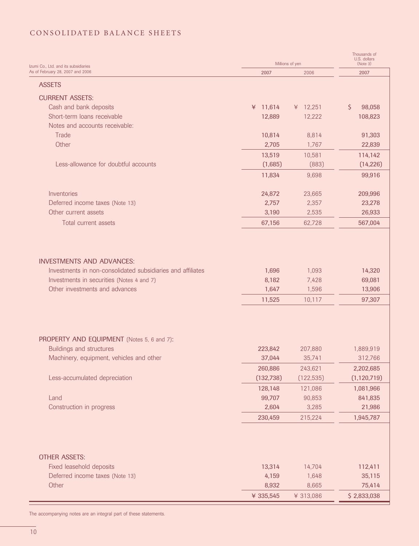#### C ONSOLIDATED BALANCE SHEETS

| Izumi Co., Ltd. and its subsidiaries                        | Millions of yen | Thousands of<br>U.S. dollars<br>(Note 3) |                   |
|-------------------------------------------------------------|-----------------|------------------------------------------|-------------------|
| As of February 28, 2007 and 2006                            | 2007            | 2006                                     | 2007              |
| <b>ASSETS</b>                                               |                 |                                          |                   |
| <b>CURRENT ASSETS:</b>                                      |                 |                                          |                   |
| Cash and bank deposits                                      | ¥ 11,614        | ¥ $12,251$                               | $\zeta$<br>98,058 |
| Short-term loans receivable                                 | 12,889          | 12,222                                   | 108,823           |
| Notes and accounts receivable:                              |                 |                                          |                   |
| Trade                                                       | 10,814          | 8,814                                    | 91,303            |
| Other                                                       | 2,705           | 1,767                                    | 22,839            |
|                                                             | 13,519          | 10,581                                   | 114,142           |
| Less-allowance for doubtful accounts                        | (1,685)         | (883)                                    | (14, 226)         |
|                                                             |                 |                                          |                   |
|                                                             | 11,834          | 9,698                                    | 99,916            |
| Inventories                                                 | 24,872          | 23,665                                   | 209,996           |
| Deferred income taxes (Note 13)                             | 2,757           | 2,357                                    | 23,278            |
| Other current assets                                        | 3,190           | 2,535                                    | 26,933            |
| Total current assets                                        | 67,156          | 62,728                                   | 567,004           |
|                                                             |                 |                                          |                   |
|                                                             |                 |                                          |                   |
| <b>INVESTMENTS AND ADVANCES:</b>                            |                 |                                          |                   |
| Investments in non-consolidated subsidiaries and affiliates | 1,696           | 1,093                                    | 14,320            |
| Investments in securities (Notes 4 and 7)                   | 8,182           | 7,428                                    | 69,081            |
| Other investments and advances                              | 1,647           | 1,596                                    | 13,906            |
|                                                             | 11,525          | 10,117                                   | 97,307            |
|                                                             |                 |                                          |                   |
| PROPERTY AND EQUIPMENT (Notes 5, 6 and 7):                  |                 |                                          |                   |
| <b>Buildings and structures</b>                             | 223,842         | 207,880                                  | 1,889,919         |
| Machinery, equipment, vehicles and other                    | 37,044          | 35,741                                   | 312,766           |
|                                                             | 260,886         | 243,621                                  | 2,202,685         |
| Less-accumulated depreciation                               | (132, 738)      | (122, 535)                               | (1, 120, 719)     |
|                                                             | 128,148         | 121,086                                  | 1,081,966         |
| Land                                                        | 99,707          | 90,853                                   | 841,835           |
| Construction in progress                                    | 2,604           | 3,285                                    | 21,986            |
|                                                             | 230,459         | 215,224                                  | 1,945,787         |
|                                                             |                 |                                          |                   |
|                                                             |                 |                                          |                   |
| <b>OTHER ASSETS:</b>                                        |                 |                                          |                   |
| Fixed leasehold deposits                                    | 13,314          | 14,704                                   | 112,411           |
| Deferred income taxes (Note 13)                             | 4,159           | 1,648                                    | 35,115            |
| Other                                                       | 8,932           | 8,665                                    | 75,414            |
|                                                             | ¥ 335,545       | ¥ 313,086                                | \$2,833,038       |

The accompanying notes are an integral part of these statements.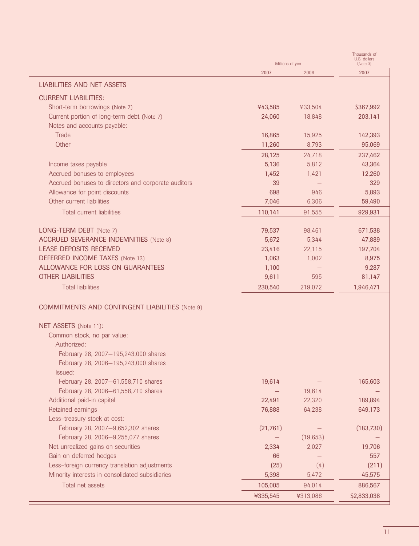|                                                                              | Millions of yen |           | Thousands of<br>U.S. dollars<br>(Note 3) |  |
|------------------------------------------------------------------------------|-----------------|-----------|------------------------------------------|--|
|                                                                              | 2007            | 2006      | 2007                                     |  |
| <b>LIABILITIES AND NET ASSETS</b>                                            |                 |           |                                          |  |
|                                                                              |                 |           |                                          |  |
| <b>CURRENT LIABILITIES:</b>                                                  | ¥43,585         | ¥33,504   | \$367,992                                |  |
| Short-term borrowings (Note 7)<br>Current portion of long-term debt (Note 7) | 24,060          | 18,848    | 203,141                                  |  |
| Notes and accounts payable:                                                  |                 |           |                                          |  |
| Trade                                                                        | 16,865          | 15,925    | 142,393                                  |  |
| Other                                                                        | 11,260          | 8,793     | 95,069                                   |  |
|                                                                              | 28,125          | 24,718    | 237,462                                  |  |
| Income taxes payable                                                         | 5,136           | 5,812     | 43,364                                   |  |
| Accrued bonuses to employees                                                 | 1,452           | 1,421     | 12,260                                   |  |
| Accrued bonuses to directors and corporate auditors                          | 39              |           | 329                                      |  |
| Allowance for point discounts                                                | 698             | 946       | 5,893                                    |  |
| Other current liabilities                                                    | 7,046           | 6,306     | 59,490                                   |  |
| <b>Total current liabilities</b>                                             | 110,141         | 91,555    | 929,931                                  |  |
|                                                                              |                 |           |                                          |  |
| LONG-TERM DEBT (Note 7)                                                      | 79,537          | 98,461    | 671,538                                  |  |
| <b>ACCRUED SEVERANCE INDEMNITIES (Note 8)</b>                                | 5,672           | 5,344     | 47,889                                   |  |
| <b>LEASE DEPOSITS RECEIVED</b>                                               | 23,416          | 22,115    | 197,704                                  |  |
| <b>DEFERRED INCOME TAXES</b> (Note 13)                                       | 1,063           | 1,002     | 8,975                                    |  |
| ALLOWANCE FOR LOSS ON GUARANTEES                                             | 1,100           |           | 9,287                                    |  |
| <b>OTHER LIABILITIES</b>                                                     | 9,611           | 595       | 81,147                                   |  |
| <b>Total liabilities</b>                                                     | 230,540         | 219,072   | 1,946,471                                |  |
| <b>COMMITMENTS AND CONTINGENT LIABILITIES (Note 9)</b>                       |                 |           |                                          |  |
| NET ASSETS (Note 11):                                                        |                 |           |                                          |  |
| Common stock, no par value:                                                  |                 |           |                                          |  |
| Authorized:                                                                  |                 |           |                                          |  |
| February 28, 2007-195,243,000 shares                                         |                 |           |                                          |  |
| February 28, 2006-195,243,000 shares                                         |                 |           |                                          |  |
| Issued:                                                                      |                 |           |                                          |  |
| February 28, 2007-61,558,710 shares                                          | 19,614          |           | 165,603                                  |  |
| February 28, 2006-61,558,710 shares                                          |                 | 19,614    |                                          |  |
| Additional paid-in capital                                                   | 22,491          | 22,320    | 189,894                                  |  |
| Retained earnings                                                            | 76,888          | 64,238    | 649,173                                  |  |
| Less-treasury stock at cost:                                                 |                 |           |                                          |  |
| February 28, 2007-9,652,302 shares                                           | (21, 761)       |           | (183,730)                                |  |
| February 28, 2006-9,255,077 shares                                           |                 | (19, 653) |                                          |  |
| Net unrealized gains on securities                                           | 2,334           | 2,027     | 19,706                                   |  |
| Gain on deferred hedges                                                      | 66              |           | 557                                      |  |
| Less-foreign currency translation adjustments                                | (25)            | (4)       | (211)                                    |  |
| Minority interests in consolidated subsidiaries                              | 5,398           | 5,472     | 45,575                                   |  |
| Total net assets                                                             | 105,005         | 94,014    | 886,567                                  |  |
|                                                                              | ¥335,545        | ¥313,086  | \$2,833,038                              |  |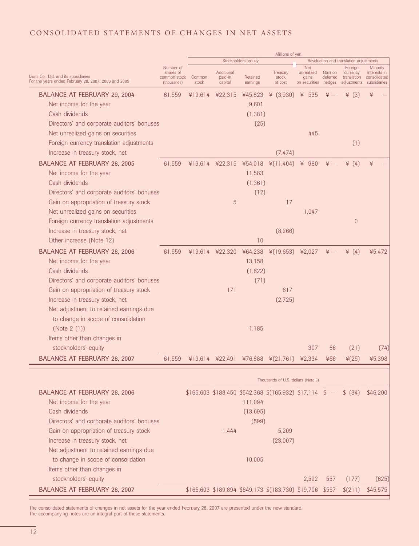#### C ONSOLIDATED STATEMENTS OF CHANGES IN NET ASSETS

|                                                                                              |                                                       |                 |                                  |                         | Millions of yen                                          |                                                           |                     |                                         |                                                                      |
|----------------------------------------------------------------------------------------------|-------------------------------------------------------|-----------------|----------------------------------|-------------------------|----------------------------------------------------------|-----------------------------------------------------------|---------------------|-----------------------------------------|----------------------------------------------------------------------|
|                                                                                              |                                                       |                 |                                  | Stockholders' equity    |                                                          |                                                           |                     | Revaluation and translation adjustments |                                                                      |
| Izumi Co., Ltd. and its subsidiaries<br>For the years ended February 28, 2007, 2006 and 2005 | Number of<br>shares of<br>common stock<br>(thousands) | Common<br>stock | Additional<br>paid-in<br>capital | Retained<br>earnings    | Treasury<br>stock<br>at cost                             | <b>Net</b><br>unrealized<br>gains<br>on securities hedges | Gain on<br>deferred | Foreign<br>currency<br>translation      | Minority<br>interests in<br>consolidated<br>adjustments subsidiaries |
| BALANCE AT FEBRUARY 29, 2004                                                                 | 61.559                                                |                 |                                  |                         | ¥19,614 ¥22,315 ¥45,823 ¥ (3,930) ¥ 535                  |                                                           | $\frac{1}{2}$       | $\angle$ (3)                            | ¥                                                                    |
| Net income for the year                                                                      |                                                       |                 |                                  | 9,601                   |                                                          |                                                           |                     |                                         |                                                                      |
| Cash dividends                                                                               |                                                       |                 |                                  | (1, 381)                |                                                          |                                                           |                     |                                         |                                                                      |
| Directors' and corporate auditors' bonuses                                                   |                                                       |                 |                                  | (25)                    |                                                          |                                                           |                     |                                         |                                                                      |
| Net unrealized gains on securities                                                           |                                                       |                 |                                  |                         |                                                          | 445                                                       |                     |                                         |                                                                      |
| Foreign currency translation adjustments                                                     |                                                       |                 |                                  |                         |                                                          |                                                           |                     | (1)                                     |                                                                      |
| Increase in treasury stock, net                                                              |                                                       |                 |                                  |                         | (7, 474)                                                 |                                                           |                     |                                         |                                                                      |
| BALANCE AT FEBRUARY 28, 2005                                                                 | 61,559                                                |                 |                                  | ¥19,614 ¥22,315 ¥54,018 | ¥(11,404)                                                | ¥ 980                                                     | $\angle +$          | ¥ $(4)$                                 | ¥                                                                    |
| Net income for the year                                                                      |                                                       |                 |                                  | 11,583                  |                                                          |                                                           |                     |                                         |                                                                      |
| Cash dividends<br>Directors' and corporate auditors' bonuses                                 |                                                       |                 |                                  | (1, 361)                |                                                          |                                                           |                     |                                         |                                                                      |
|                                                                                              |                                                       |                 |                                  | (12)                    |                                                          |                                                           |                     |                                         |                                                                      |
| Gain on appropriation of treasury stock                                                      |                                                       |                 | 5                                |                         | 17                                                       |                                                           |                     |                                         |                                                                      |
| Net unrealized gains on securities                                                           |                                                       |                 |                                  |                         |                                                          | 1,047                                                     |                     |                                         |                                                                      |
| Foreign currency translation adjustments                                                     |                                                       |                 |                                  |                         |                                                          |                                                           |                     | $\theta$                                |                                                                      |
| Increase in treasury stock, net                                                              |                                                       |                 |                                  |                         | (8, 266)                                                 |                                                           |                     |                                         |                                                                      |
| Other increase (Note 12)                                                                     |                                                       |                 |                                  | 10                      |                                                          |                                                           |                     |                                         |                                                                      |
| <b>BALANCE AT FEBRUARY 28, 2006</b>                                                          | 61,559                                                |                 |                                  | ¥19,614 ¥22,320 ¥64,238 | ¥(19,653) ¥2,027                                         |                                                           | $\ddot{x}$ $-$      | ¥ $(4)$                                 | ¥5,472                                                               |
| Net income for the year                                                                      |                                                       |                 |                                  | 13,158                  |                                                          |                                                           |                     |                                         |                                                                      |
| Cash dividends                                                                               |                                                       |                 |                                  | (1,622)                 |                                                          |                                                           |                     |                                         |                                                                      |
| Directors' and corporate auditors' bonuses                                                   |                                                       |                 |                                  | (71)                    |                                                          |                                                           |                     |                                         |                                                                      |
| Gain on appropriation of treasury stock                                                      |                                                       |                 | 171                              |                         | 617                                                      |                                                           |                     |                                         |                                                                      |
| Increase in treasury stock, net                                                              |                                                       |                 |                                  |                         | (2,725)                                                  |                                                           |                     |                                         |                                                                      |
| Net adjustment to retained earnings due                                                      |                                                       |                 |                                  |                         |                                                          |                                                           |                     |                                         |                                                                      |
| to change in scope of consolidation                                                          |                                                       |                 |                                  |                         |                                                          |                                                           |                     |                                         |                                                                      |
| (Note 2 (1))                                                                                 |                                                       |                 |                                  | 1,185                   |                                                          |                                                           |                     |                                         |                                                                      |
| Items other than changes in                                                                  |                                                       |                 |                                  |                         |                                                          |                                                           |                     |                                         |                                                                      |
| stockholders' equity                                                                         |                                                       |                 |                                  |                         |                                                          | 307                                                       | 66                  | (21)                                    | (74)                                                                 |
| <b>BALANCE AT FEBRUARY 28, 2007</b>                                                          | 61.559                                                | ¥19.614         | ¥22.491                          |                         | $¥76.888$ $¥(21.761)$                                    | ¥2.334                                                    | ¥66                 | $\frac{1}{2}$ (25)                      | ¥5398                                                                |
|                                                                                              |                                                       |                 |                                  |                         |                                                          |                                                           |                     |                                         |                                                                      |
|                                                                                              |                                                       |                 |                                  |                         | Thousands of U.S. dollars (Note 3)                       |                                                           |                     |                                         |                                                                      |
| <b>BALANCE AT FEBRUARY 28, 2006</b>                                                          |                                                       |                 |                                  |                         | \$165,603 \$188,450 \$542,368 \$(165,932) \$17,114       |                                                           | <sup>3</sup>        | \$ (34)                                 | \$46,200                                                             |
| Net income for the year                                                                      |                                                       |                 |                                  | 111,094                 |                                                          |                                                           |                     |                                         |                                                                      |
| Cash dividends                                                                               |                                                       |                 |                                  | (13, 695)               |                                                          |                                                           |                     |                                         |                                                                      |
| Directors' and corporate auditors' bonuses                                                   |                                                       |                 |                                  | (599)                   |                                                          |                                                           |                     |                                         |                                                                      |
| Gain on appropriation of treasury stock                                                      |                                                       |                 | 1,444                            |                         | 5,209                                                    |                                                           |                     |                                         |                                                                      |
| Increase in treasury stock, net                                                              |                                                       |                 |                                  |                         | (23,007)                                                 |                                                           |                     |                                         |                                                                      |
| Net adjustment to retained earnings due                                                      |                                                       |                 |                                  |                         |                                                          |                                                           |                     |                                         |                                                                      |
| to change in scope of consolidation                                                          |                                                       |                 |                                  | 10,005                  |                                                          |                                                           |                     |                                         |                                                                      |
| Items other than changes in                                                                  |                                                       |                 |                                  |                         |                                                          |                                                           |                     |                                         |                                                                      |
| stockholders' equity                                                                         |                                                       |                 |                                  |                         |                                                          | 2,592                                                     | 557                 | (177)                                   | (625)                                                                |
| BALANCE AT FEBRUARY 28, 2007                                                                 |                                                       |                 |                                  |                         | \$165,603 \$189,894 \$649,173 \$(183,730) \$19,706 \$557 |                                                           |                     | \$(211)                                 | \$45,575                                                             |

The consolidated statements of changes in net assets for the year ended February 28, 2007 are presented under the new standard. The accompanying notes are an integral part of these statements.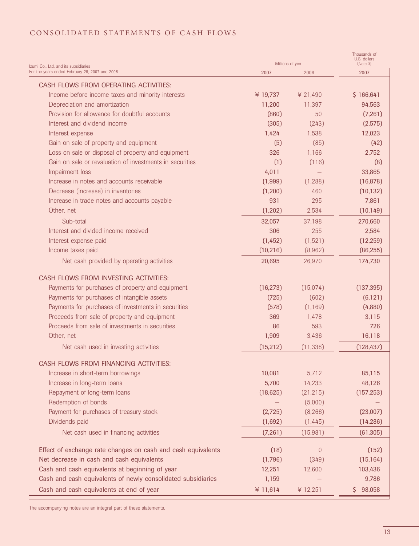### C ONSOLIDATED STATEMENTS OF CASH FLOWS

| Izumi Co., Ltd. and its subsidiaries                         | Millions of yen | Thousands of<br>U.S. dollars<br>(Note 3) |            |
|--------------------------------------------------------------|-----------------|------------------------------------------|------------|
| For the years ended February 28, 2007 and 2006               | 2007            | 2006                                     | 2007       |
| CASH FLOWS FROM OPERATING ACTIVITIES:                        |                 |                                          |            |
| Income before income taxes and minority interests            | ¥ 19,737        | ¥ 21,490                                 | \$166,641  |
| Depreciation and amortization                                | 11,200          | 11.397                                   | 94,563     |
| Provision for allowance for doubtful accounts                | (860)           | 50                                       | (7,261)    |
| Interest and dividend income                                 | (305)           | (243)                                    | (2, 575)   |
| Interest expense                                             | 1,424           | 1.538                                    | 12,023     |
| Gain on sale of property and equipment                       | (5)             | (85)                                     | (42)       |
| Loss on sale or disposal of property and equipment           | 326             | 1,166                                    | 2,752      |
| Gain on sale or revaluation of investments in securities     | (1)             | (116)                                    | (8)        |
| Impairment loss                                              | 4,011           |                                          | 33,865     |
| Increase in notes and accounts receivable                    | (1,999)         | (1, 288)                                 | (16, 878)  |
| Decrease (increase) in inventories                           | (1, 200)        | 460                                      | (10, 132)  |
| Increase in trade notes and accounts payable                 | 931             | 295                                      | 7,861      |
| Other, net                                                   | (1, 202)        | 2,534                                    | (10, 149)  |
| Sub-total                                                    | 32,057          | 37,198                                   | 270,660    |
| Interest and divided income received                         | 306             | 255                                      | 2,584      |
| Interest expense paid                                        | (1,452)         | (1,521)                                  | (12, 259)  |
| Income taxes paid                                            | (10, 216)       | (8,962)                                  | (86, 255)  |
| Net cash provided by operating activities                    | 20,695          | 26,970                                   | 174,730    |
| CASH FLOWS FROM INVESTING ACTIVITIES:                        |                 |                                          |            |
| Payments for purchases of property and equipment             | (16, 273)       | (15,074)                                 | (137, 395) |
| Payments for purchases of intangible assets                  | (725)           | (602)                                    | (6, 121)   |
| Payments for purchases of investments in securities          | (578)           | (1, 169)                                 | (4,880)    |
| Proceeds from sale of property and equipment                 | 369             | 1,478                                    | 3,115      |
| Proceeds from sale of investments in securities              | 86              | 593                                      | 726        |
| Other, net                                                   | 1,909           | 3,436                                    | 16,118     |
| Net cash used in investing activities                        | (15, 212)       | (11, 338)                                | (128, 437) |
| CASH FLOWS FROM FINANCING ACTIVITIES:                        |                 |                                          |            |
| Increase in short-term borrowings                            | 10,081          | 5,712                                    | 85,115     |
| Increase in long-term loans                                  | 5,700           | 14,233                                   | 48,126     |
| Repayment of long-term loans                                 | (18, 625)       | (21, 215)                                | (157, 253) |
| Redemption of bonds                                          |                 | (5,000)                                  |            |
| Payment for purchases of treasury stock                      | (2,725)         | (8, 266)                                 | (23,007)   |
| Dividends paid                                               | (1,692)         | (1, 445)                                 | (14, 286)  |
| Net cash used in financing activities                        | (7,261)         | (15,981)                                 | (61, 305)  |
| Effect of exchange rate changes on cash and cash equivalents | (18)            | $\theta$                                 | (152)      |
| Net decrease in cash and cash equivalents                    | (1,796)         | (349)                                    | (15, 164)  |
| Cash and cash equivalents at beginning of year               | 12,251          | 12,600                                   | 103,436    |
| Cash and cash equivalents of newly consolidated subsidiaries | 1,159           |                                          | 9,786      |
| Cash and cash equivalents at end of year                     | ¥ 11,614        | ¥ 12,251                                 | \$98,058   |

The accompanying notes are an integral part of these statements.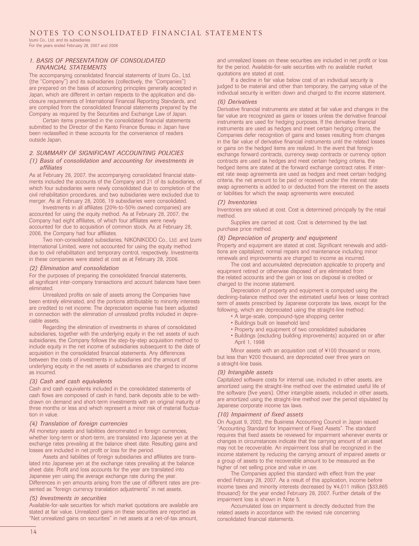Izumi Co., Ltd. and its subsidiaries For the years ended February 28, 2007 and 2006

#### *1. BASIS OF PRESENTATION OF CONSOLIDATED FINANCIAL STATEMENTS*

The accompanying consolidated financial statements of Izumi Co., Ltd. (the "Company") and its subsidiaries (collectively, the "Companies") are prepared on the basis of accounting principles generally accepted in Japan, which are different in certain respects to the application and disclosure requirements of International Financial Reporting Standards, and are compiled from the consolidated financial statements prepared by the Company as required by the Securities and Exchange Law of Japan.

Certain items presented in the consolidated financial statements submitted to the Director of the Kanto Finance Bureau in Japan have been reclassified in these accounts for the convenience of readers outside Japan.

#### *2. SUMMARY OF SIGNIFICANT ACCOUNTING POLICIES*

#### *(1) Basis of consolidation and accounting for investments in affiliates*

As at February 28, 2007, the accompanying consolidated financial statements included the accounts of the Company and 21 of its subsidiaries, of which four subsidiaries were newly consolidated due to completion of the civil rehabilitation procedures, and two subsidiaries were excluded due to merger. As at February 28, 2006, 19 subsidiaries were consolidated.

Investments in all affiliates (20%-to-50% owned companies) are accounted for using the equity method. As at February 28, 2007, the Company had eight affiliates, of which four affiliates were newly accounted for due to acquisition of common stock. As at February 28, 2006, the Company had four affiliates.

Two non-consolidated subsidiaries, NIKONIKODO Co., Ltd. and Izumi International Limited, were not accounted for using the equity method due to civil rehabilitation and temporary control, respectively. Investments in these companies were stated at cost as at February 28, 2006.

#### *(2) Elimination and consolidation*

For the purposes of preparing the consolidated financial statements, all significant inter-company transactions and account balances have been eliminated.

Unrealized profits on sale of assets among the Companies have been entirely eliminated, and the portions attributable to minority interests are credited to net income. The depreciation expense has been adjusted in connection with the elimination of unrealized profits included in depreciable assets.

Regarding the elimination of investments in shares of consolidated subsidiaries, together with the underlying equity in the net assets of such subsidiaries, the Company follows the step-by-step acquisition method to include equity in the net income of subsidiaries subsequent to the date of acquisition in the consolidated financial statements. Any differences between the costs of investments in subsidiaries and the amount of underlying equity in the net assets of subsidiaries are charged to income as incurred.

#### *(3) Cash and cash equivalents*

Cash and cash equivalents included in the consolidated statements of cash flows are composed of cash in hand, bank deposits able to be withdrawn on demand and short-term investments with an original maturity of three months or less and which represent a minor risk of material fluctuation in value.

#### *(4) Translation of foreign currencies*

All monetary assets and liabilities denominated in foreign currencies, whether long-term or short-term, are translated into Japanese yen at the exchange rates prevailing at the balance sheet date. Resulting gains and losses are included in net profit or loss for the period.

Assets and liabilities of foreign subsidiaries and affiliates are translated into Japanese yen at the exchange rates prevailing at the balance sheet date. Profit and loss accounts for the year are translated into Japanese yen using the average exchange rate during the year. Differences in yen amounts arising from the use of different rates are presented as "foreign currency translation adjustments" in net assets.

#### *(5) Investments in securities*

Available-for-sale securities for which market quotations are available are stated at fair value. Unrealized gains on these securities are reported as "Net unrealized gains on securities" in net assets at a net-of-tax amount,

and unrealized losses on these securities are included in net profit or loss for the period. Available-for-sale securities with no available market quotations are stated at cost.

If a decline in fair value below cost of an individual security is judged to be material and other than temporary, the carrying value of the individual security is written down and charged to the income statement.

#### *(6) Derivatives*

Derivative financial instruments are stated at fair value and changes in the fair value are recognized as gains or losses unless the derivative financial instruments are used for hedging purposes. If the derivative financial instruments are used as hedges and meet certain hedging criteria, the Companies defer recognition of gains and losses resulting from changes in the fair value of derivative financial instruments until the related losses or gains on the hedged items are realized. In the event that foreign exchange forward contracts, currency swap contracts or currency option contracts are used as hedges and meet certain hedging criteria, the hedged items are stated at the forward exchange contract rates. If interest rate swap agreements are used as hedges and meet certain hedging criteria, the net amount to be paid or received under the interest rate swap agreements is added to or deducted from the interest on the assets or liabilities for which the swap agreements were executed.

#### *(7) Inventories*

Inventories are valued at cost. Cost is determined principally by the retail method.

Supplies are carried at cost. Cost is determined by the last purchase price method.

#### *(8) Depreciation of property and equipment*

Property and equipment are stated at cost. Significant renewals and additions are capitalized; normal repairs and maintenance including minor renewals and improvements are charged to income as incurred.

The cost and accumulated depreciation applicable to property and equipment retired or otherwise disposed of are eliminated from the related accounts and the gain or loss on disposal is credited or charged to the income statement.

Depreciation of property and equipment is computed using the declining-balance method over the estimated useful lives or lease contract term of assets prescribed by Japanese corporate tax laws, except for the following, which are depreciated using the straight-line method:

- A large-scale, compound-type shopping center
	- Buildings built on leasehold land
	- Property and equipment of two consolidated subsidiaries
	- Buildings (excluding building improvements) acquired on or after April 1, 1998

Minor assets with an acquisition cost of ¥100 thousand or more, but less than ¥200 thousand, are depreciated over three years on a straight-line basis.

#### *(9) Intangible assets*

Capitalized software costs for internal use, included in other assets, are amortized using the straight-line method over the estimated useful life of the software (five years). Other intangible assets, included in other assets, are amortized using the straight-line method over the period stipulated by Japanese corporate income tax laws.

#### *(10) Impairment of fixed assets*

On August 9, 2002, the Business Accounting Council in Japan issued "Accounting Standard for Impairment of Fixed Assets". The standard requires that fixed assets be reviewed for impairment whenever events or changes in circumstances indicate that the carrying amount of an asset may not be recoverable. An impairment loss shall be recognized in the income statement by reducing the carrying amount of impaired assets or a group of assets to the recoverable amount to be measured as the higher of net selling price and value in use.

The Companies applied this standard with effect from the year ended February 28, 2007. As a result of this application, income before income taxes and minority interests decreased by ¥4,011 million (\$33,865 thousand) for the year ended February 28, 2007. Further details of the impairment loss is shown in Note 5.

Accumulated loss on impairment is directly deducted from the related assets in accordance with the revised rule concerning consolidated financial statements.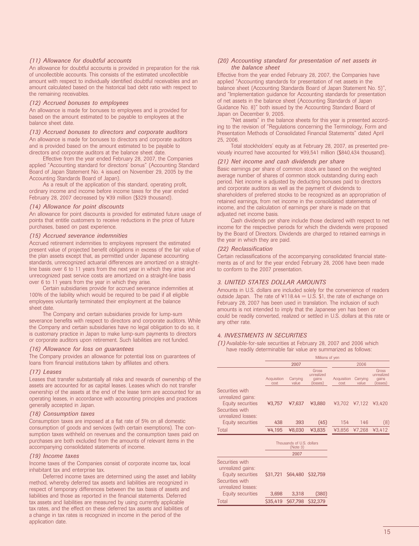#### *(11) Allowance for doubtful accounts*

An allowance for doubtful accounts is provided in preparation for the risk of uncollectible accounts. This consists of the estimated uncollectible amount with respect to individually identified doubtful receivables and an amount calculated based on the historical bad debt ratio with respect to the remaining receivables.

#### *(12) Accrued bonuses to employees*

An allowance is made for bonuses to employees and is provided for based on the amount estimated to be payable to employees at the balance sheet date.

*(13) Accrued bonuses to directors and corporate auditors* An allowance is made for bonuses to directors and corporate auditors and is provided based on the amount estimated to be payable to directors and corporate auditors at the balance sheet date.

Effective from the year ended February 28, 2007, the Companies applied "Accounting standard for directors' bonus" (Accounting Standard Board of Japan Statement No. 4 issued on November 29, 2005 by the Accounting Standards Board of Japan).

As a result of the application of this standard, operating profit, ordinary income and income before income taxes for the year ended February 28, 2007 decreased by ¥39 million (\$329 thousand).

#### *(14) Allowance for point discounts*

An allowance for point discounts is provided for estimated future usage of points that entitle customers to receive reductions in the price of future purchases, based on past experience.

#### *(15) Accrued severance indemnities*

Accrued retirement indemnities to employees represent the estimated present value of projected benefit obligations in excess of the fair value of the plan assets except that, as permitted under Japanese accounting standards, unrecognized actuarial differences are amortized on a straightline basis over 6 to 11 years from the next year in which they arise and unrecognized past service costs are amortized on a straight-line basis over 6 to 11 years from the year in which they arise.

Certain subsidiaries provide for accrued severance indemnities at 100% of the liability which would be required to be paid if all eligible employees voluntarily terminated their employment at the balance sheet date.

The Company and certain subsidiaries provide for lump-sum severance benefits with respect to directors and corporate auditors. While the Company and certain subsidiaries have no legal obligation to do so, it is customary practice in Japan to make lump-sum payments to directors or corporate auditors upon retirement. Such liabilities are not funded.

#### *(16) Allowance for loss on guarantees*

The Company provides an allowance for potential loss on guarantees of loans from financial institutions taken by affiliates and others.

#### *(17) Leases*

Leases that transfer substantially all risks and rewards of ownership of the assets are accounted for as capital leases. Leases which do not transfer ownership of the assets at the end of the lease term are accounted for as operating leases, in accordance with accounting principles and practices generally accepted in Japan.

#### *(18) Consumption taxes*

Consumption taxes are imposed at a flat rate of 5% on all domestic consumption of goods and services (with certain exemptions). The consumption taxes withheld on revenues and the consumption taxes paid on purchases are both excluded from the amounts of relevant items in the accompanying consolidated statements of income.

#### *(19) Income taxes*

Income taxes of the Companies consist of corporate income tax, local inhabitant tax and enterprise tax.

Deferred income taxes are determined using the asset and liability method, whereby deferred tax assets and liabilities are recognized in respect of temporary differences between the tax basis of assets and liabilities and those as reported in the financial statements. Deferred tax assets and liabilities are measured by using currently applicable tax rates, and the effect on these deferred tax assets and liabilities of a change in tax rates is recognized in income in the period of the application date.

#### *(20) Accounting standard for presentation of net assets in the balance sheet*

Effective from the year ended February 28, 2007, the Companies have applied "Accounting standards for presentation of net assets in the balance sheet (Accounting Standards Board of Japan Statement No. 5)", and "Implementation guidance for Accounting standards for presentation of net assets in the balance sheet (Accounting Standards of Japan Guidance No. 8)" both issued by the Accounting Standard Board of Japan on December 9, 2005.

'Net assets" in the balance sheets for this year is presented according to the revision of "Regulations concerning the Terminology, Form and Presentation Methods of Consolidated Financial Statements" dated April 25, 2006.

Total stockholders' equity as at February 28, 2007, as presented previously incurred have accounted for ¥99,541 million (\$840,434 thousand).

#### *(21) Net income and cash dividends per share*

Basic earnings per share of common stock are based on the weighted average number of shares of common stock outstanding during each period. Net income is adjusted by deducting bonuses paid to directors and corporate auditors as well as the payment of dividends to shareholders of preferred stocks to be recognized as an appropriation of retained earnings, from net income in the consolidated statements of income, and the calculation of earnings per share is made on that adjusted net income basis.

Cash dividends per share include those declared with respect to net income for the respective periods for which the dividends were proposed by the Board of Directors. Dividends are charged to retained earnings in the year in which they are paid.

#### *(22) Reclassification*

Certain reclassifications of the accompanying consolidated financial statements as of and for the year ended February 28, 2006 have been made to conform to the 2007 presentation.

#### *3. UNITED STATES DOLLAR AMOUNTS*

Amounts in U.S. dollars are included solely for the convenience of readers outside Japan. The rate of  $4118.44 = U.S.$  \$1, the rate of exchange on February 28, 2007 has been used in translation. The inclusion of such amounts is not intended to imply that the Japanese yen has been or could be readily converted, realized or settled in U.S. dollars at this rate or any other rate.

#### *4. INVESTMENTS IN SECURITIES*

*(1)* Available-for-sale securities at February 28, 2007 and 2006 which have readily determinable fair value are summarized as follows:

|                                                                                                    |                     |                                       |                                          |                     |                      | Millions of yen                          |  |  |  |  |  |  |
|----------------------------------------------------------------------------------------------------|---------------------|---------------------------------------|------------------------------------------|---------------------|----------------------|------------------------------------------|--|--|--|--|--|--|
|                                                                                                    |                     | 2007                                  |                                          |                     | 2006                 |                                          |  |  |  |  |  |  |
|                                                                                                    | Acquisition<br>cost | Carrying<br>value                     | Gross<br>unrealized<br>gains<br>(losses) | Acquisition<br>cost | Carrying<br>value    | Gross<br>unrealized<br>gains<br>(losses) |  |  |  |  |  |  |
| Securities with<br>unrealized gains:<br>Equity securities<br>Securities with<br>unrealized losses: | ¥3,757              | ¥7,637                                | ¥3,880                                   |                     | ¥3,702 ¥7,122 ¥3,420 |                                          |  |  |  |  |  |  |
| Equity securities                                                                                  | 438                 | 393                                   | (45)                                     | 154                 | 146                  | (8)                                      |  |  |  |  |  |  |
| Total                                                                                              | ¥4,195              | ¥8,030                                | ¥3,835                                   | ¥3,856              | ¥7,268               | ¥3,412                                   |  |  |  |  |  |  |
|                                                                                                    |                     | Thousands of U.S. dollars<br>(Note 3) |                                          |                     |                      |                                          |  |  |  |  |  |  |
|                                                                                                    |                     | 2007                                  |                                          |                     |                      |                                          |  |  |  |  |  |  |
| Securities with<br>unrealized gains:<br>Equity securities<br>Securities with<br>unrealized losses: | \$31,721            | \$64,480                              | \$32,759                                 |                     |                      |                                          |  |  |  |  |  |  |
| Equity securities                                                                                  | 3,698               | 3,318                                 | (380)                                    |                     |                      |                                          |  |  |  |  |  |  |
| Total                                                                                              | \$35.419            | \$67,798                              | S32.379                                  |                     |                      |                                          |  |  |  |  |  |  |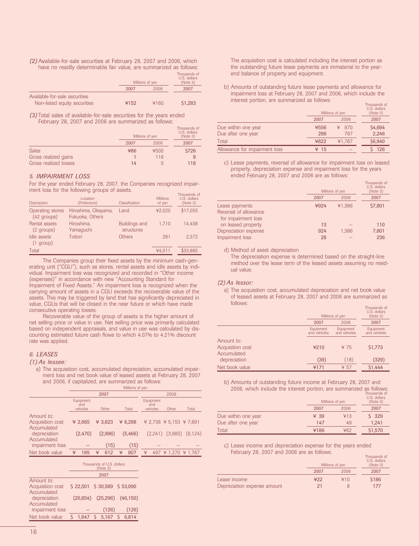*(2)* Available-for-sale securities at February 28, 2007 and 2006, which have no readily determinable fair value, are summarized as follows: Thousands of

|                               |      | Millions of yen |         |
|-------------------------------|------|-----------------|---------|
|                               | 2007 | 2006            | 2007    |
| Available-for-sale securities |      |                 |         |
| Non-listed equity securities  | ¥152 | ¥160            | \$1.283 |

*(3)* Total sales of available-for-sale securities for the years ended February 28, 2007 and 2006 are summarized as follows:

|                       | Millions of yen | Thousands of<br>U.S. dollars<br>(Note 3) |       |
|-----------------------|-----------------|------------------------------------------|-------|
|                       | 2007            | 2006                                     | 2007  |
| <b>Sales</b>          | ¥86             | ¥500                                     | \$726 |
| Gross realized gains  |                 | 116                                      |       |
| Gross realized losses | 14              |                                          | 118   |

#### *5. IMPAIRMENT LOSS*

For the year ended February 28, 2007, the Companies recognized impairment loss for the following groups of assets.

| Description                       | Location<br>(Prefecture)               | Classification                     | <b>Millions</b><br>of yen | Thousands of<br>U.S. dollars<br>(Note 3) |
|-----------------------------------|----------------------------------------|------------------------------------|---------------------------|------------------------------------------|
| Operating stores<br>$(42$ groups) | Hiroshima, Okayama,<br>Fukuoka, Others | Land                               | ¥2.020                    | \$17.055                                 |
| Rental assets<br>(2 groups)       | Hiroshima.<br>Yamaguchi                | <b>Buildings and</b><br>structures | 1.710                     | 14.438                                   |
| Idle assets<br>$(1$ group)        | Tottori                                | Others                             | 281                       | 2.372                                    |
| Total                             |                                        |                                    | ¥4.011                    | \$33.865                                 |

The Companies group their fixed assets by the minimum cash-generating unit ("CGU"), such as stores, rental assets and idle assets by individual. Impairment loss was recognized and recorded in "Other income (expenses)" in accordance with new "Accounting Standard for Impairment of Fixed Assets." An impairment loss is recognized when the carrying amount of assets in a CGU exceeds the recoverable value of the assets. This may be triggered by land that has significantly depreciated in value, CGUs that will be closed in the near future or which have made consecutive operating losses.

Recoverable value of the group of assets is the higher amount of net selling price or value in use. Net selling price was primarily calculated based on independent appraisals, and value in use was calculated by discounting estimated future cash flows to which 4.07% to 4.21% discount rate was applied.

#### *6. LEASES*

#### *(1) As lessee:*

a) The acquisition cost, accumulated depreciation, accumulated impairment loss and net book value of leased assets at February 28, 2007 and 2006, if capitalized, are summarized as follows:

|                                               |      |                              |   |                                               |   | Millions of yen |   |                              |         |                         |
|-----------------------------------------------|------|------------------------------|---|-----------------------------------------------|---|-----------------|---|------------------------------|---------|-------------------------|
|                                               | 2007 |                              |   | 2006                                          |   |                 |   |                              |         |                         |
|                                               |      | Equipment<br>and<br>vehicles |   | Other                                         |   | Total           |   | Equipment<br>and<br>vehicles | Other   | Total                   |
| Amount to:<br>Acquisition cost<br>Accumulated |      | ¥ 2.665                      |   | ¥ 3.623                                       |   | ¥ $6,288$       |   |                              |         | ¥ 2.738 ¥ 5.153 ¥ 7.891 |
| depreciation<br>Accumulated                   |      | (2.470)                      |   | (2.996)                                       |   | (5,466)         |   | (2.241)                      | (3,883) | (6, 124)                |
| impairment loss                               |      |                              |   | (15)                                          |   | (15)            |   |                              |         |                         |
| Net book value                                | ¥    | 195                          | ¥ | 612                                           | ¥ | 807             | ¥ |                              |         | 497 ¥ 1.270 ¥ 1.767     |
|                                               |      |                              |   | Thousands of U.S. dollars<br>(Note 3)<br>2007 |   |                 |   |                              |         |                         |
| $A$ manuf to:                                 |      |                              |   |                                               |   |                 |   |                              |         |                         |

|                  |       | 2007                             |       |
|------------------|-------|----------------------------------|-------|
| Amount to:       |       |                                  |       |
| Acquisition cost |       | \$22,501 \$30,589 \$53,090       |       |
| Accumulated      |       |                                  |       |
| depreciation     |       | $(20,854)$ $(25,296)$ $(46,150)$ |       |
| Accumulated      |       |                                  |       |
| impairment loss  |       | (126)                            | (126) |
| Net book value   | 1.647 | $5$ 5.167 $5$                    | 6.814 |

The acquisition cost is calculated including the interest portion as the outstanding future lease payments are immaterial to the yearend balance of property and equipment.

b) Amounts of outstanding future lease payments and allowance for impairment loss at February 28, 2007 and 2006, which include the interest portion, are summarized as follows:

|                               |      | Millions of yen | Thousands of<br>U.S. dollars<br>(Note 3) |
|-------------------------------|------|-----------------|------------------------------------------|
|                               | 2007 | 2006            | 2007                                     |
| Due within one year           | ¥556 | 970<br>¥        | \$4,694                                  |
| Due after one year            | 266  | 797             | 2,246                                    |
| Total                         | ¥822 | ¥1.767          | \$6,940                                  |
| Allowance for impairment loss | ¥ 15 |                 | 126                                      |

c) Lease payments, reversal of allowance for impairment loss on leased property, depreciation expense and impairment loss for the years ended February 28, 2007 and 2006 are as follows:

|                       | Millions of yen | Thousands of<br>U.S. dollars<br>(Note 3) |         |
|-----------------------|-----------------|------------------------------------------|---------|
|                       | 2007            | 2006                                     | 2007    |
| Lease payments        | ¥924            | ¥1.386                                   | \$7,801 |
| Reversal of allowance |                 |                                          |         |
| for impairment loss   |                 |                                          |         |
| on leased property    | 13              |                                          | 110     |
| Depreciation expense  | 924             | 1.386                                    | 7,801   |
| Impairment loss       | 28              |                                          | 236     |

d) Method of asset depreciation

The depreciation expense is determined based on the straight-line method over the lease term of the leased assets assuming no residual value.

#### *(2) As lessor:*

a) The acquisition cost, accumulated depreciation and net book value of leased assets at February 28, 2007 and 2006 are summarized as follows: Thousands of

|                                               |                           | Millions of yen           | Thousands of<br>U.S. dollars<br>(Note 3) |
|-----------------------------------------------|---------------------------|---------------------------|------------------------------------------|
|                                               | 2007                      | 2006                      | 2007                                     |
|                                               | Equipment<br>and vehicles | Equipment<br>and vehicles | Equipment<br>and vehicles                |
| Amount to:<br>Acquisition cost<br>Accumulated | ¥210                      | ¥ 75                      | \$1,773                                  |
| depreciation                                  | (39)                      | (18)                      | (329)                                    |
| Net book value                                | ¥171                      | ¥ 57                      | \$1,444                                  |

b) Amounts of outstanding future income at February 28, 2007 and 2006, which include the interest portion, are summarized as follows:

|                     |      | Millions of yen | Thousands of<br>U.S. dollars<br>(Note 3) |
|---------------------|------|-----------------|------------------------------------------|
|                     | 2007 | 2006            | 2007                                     |
| Due within one year | ¥ 39 | ¥13             | \$329                                    |
| Due after one year  | 147  | 49              | 1.241                                    |
| Total               | ¥186 | ¥62             | \$1,570                                  |

c) Lease income and depreciation expense for the years ended February 28, 2007 and 2006 are as follows:

|                             |      | Millions of yen | U.S. dollars<br>(Note 3) |
|-----------------------------|------|-----------------|--------------------------|
|                             | 2007 | 2006            | 2007                     |
| Lease income                | 422  | ¥10             | \$186                    |
| Depreciation expense amount | 21   |                 | 177                      |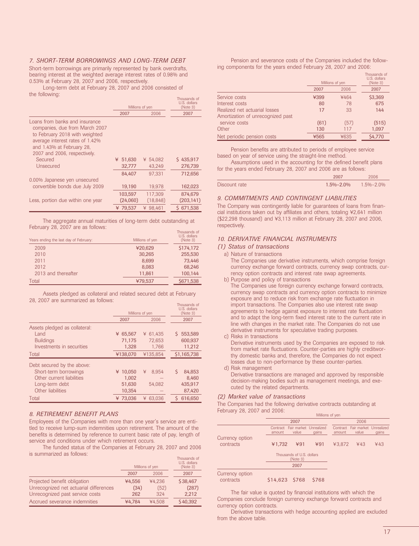#### *7. SHORT-TERM BORROWINGS AND LONG-TERM DEBT*

Short-term borrowings are primarily represented by bank overdrafts, bearing interest at the weighted average interest rates of 0.98% and 0.53% at February 28, 2007 and 2006, respectively.

Long-term debt at February 28, 2007 and 2006 consisted of the following: The following: The set of the set of the set of the set of the set of the set of the set of the<br>Thousands of the set of the set of the set of the set of the set of the set of the set of the set of the set o

|                                                                                                                                                                                                    | Millions of yen | THUUSAHUS UI<br>U.S. dollars<br>(Note 3) |            |
|----------------------------------------------------------------------------------------------------------------------------------------------------------------------------------------------------|-----------------|------------------------------------------|------------|
|                                                                                                                                                                                                    | 2007            | 2006                                     | 2007       |
| Loans from banks and insurance<br>companies, due from March 2007<br>to February 2018 with weighted<br>average interest rates of 1.42%<br>and 1.43% at February 28.<br>2007 and 2006, respectively. |                 |                                          |            |
| Secured                                                                                                                                                                                            | 51,630<br>¥     | ¥ 54.082                                 | \$435,917  |
| Unsecured                                                                                                                                                                                          | 32.777          | 43.249                                   | 276.739    |
|                                                                                                                                                                                                    | 84.407          | 97.331                                   | 712,656    |
| 0.00% Japanese yen unsecured                                                                                                                                                                       |                 |                                          |            |
| convertible bonds due July 2009                                                                                                                                                                    | 19,190          | 19.978                                   | 162,023    |
|                                                                                                                                                                                                    | 103,597         | 117.309                                  | 874,679    |
| Less, portion due within one year                                                                                                                                                                  | (24,060)        | (18, 848)                                | (203, 141) |
|                                                                                                                                                                                                    | ¥ 79.537        | ¥ 98.461                                 | \$671,538  |
|                                                                                                                                                                                                    |                 |                                          |            |

The aggregate annual maturities of long-term debt outstanding at February 28, 2007 are as follows:

| Years ending the last day of February: | Millions of yen | THUUSAHUS UI<br>U.S. dollars<br>(Note 3) |
|----------------------------------------|-----------------|------------------------------------------|
| 2009                                   | ¥20,629         | \$174,172                                |
| 2010                                   | 30.265          | 255,530                                  |
| 2011                                   | 8,699           | 73,446                                   |
| 2012                                   | 8,083           | 68,246                                   |
| 2013 and thereafter                    | 11.861          | 100.144                                  |
| Total                                  | ¥79,537         | \$671,538                                |
|                                        |                 |                                          |

Assets pledged as collateral and related secured debt at February 28, 2007 are summarized as follows:

|                               |             | Millions of yen | Thousands of<br>U.S. dollars<br>(Note 3) |
|-------------------------------|-------------|-----------------|------------------------------------------|
|                               | 2007        | 2006            | 2007                                     |
| Assets pledged as collateral: |             |                 |                                          |
| Land                          | 65,567<br>¥ | 61,435<br>¥     | 553,589<br>S                             |
| <b>Buildings</b>              | 71.175      | 72.653          | 600,937                                  |
| Investments in securities     | 1,328       | 1.766           | 11,212                                   |
| Total                         | ¥138.070    | ¥135.854        | \$1,165,738                              |
| Debt secured by the above:    |             |                 |                                          |
| Short-term borrowings         | 10,050<br>¥ | ¥<br>8.954      | Ś<br>84,853                              |
| Other current liabilities     | 1,002       |                 | 8.460                                    |
| Long-term debt                | 51.630      | 54.082          | 435,917                                  |
| Other liabilities             | 10,354      |                 | 87,420                                   |
| Total                         | ¥ 73.036    | 63.036<br>¥     | 616.650                                  |
|                               |             |                 |                                          |

#### *8. RETIREMENT BENEFIT PLANS*

Employees of the Companies with more than one year's service are entitled to receive lump-sum indemnities upon retirement. The amount of the benefits is determined by reference to current basic rate of pay, length of service and conditions under which retirement occurs.

The funded status of the Companies at February 28, 2007 and 2006 is summarized as follows:

|                                        |        | Millions of yen | THUUSAHUS UT<br>U.S. dollars<br>(Note 3) |
|----------------------------------------|--------|-----------------|------------------------------------------|
|                                        | 2007   | 2006            | 2007                                     |
| Projected benefit obligation           | ¥4.556 | ¥4.236          | \$38,467                                 |
| Unrecognized net actuarial differences | (34)   | (52)            | (287)                                    |
| Unrecognized past service costs        | 262    | 324             | 2,212                                    |
| Accrued severance indemnities          | ¥4.784 | ¥4.508          | \$40,392                                 |

Pension and severance costs of the Companies included the following components for the years ended February 28, 2007 and 2006:

|                                   |      | Millions of yen | Thousands of<br>U.S. dollars<br>(Note 3) |
|-----------------------------------|------|-----------------|------------------------------------------|
|                                   | 2007 | 2006            | 2007                                     |
| Service costs                     | ¥399 | ¥464            | \$3,369                                  |
| Interest costs                    | 80   | 78              | 675                                      |
| Realized net actuarial losses     | 17   | 33              | 144                                      |
| Amortization of unrecognized past |      |                 |                                          |
| service costs                     | (61) | (57)            | (515)                                    |
| Other                             | 130  | 117             | 1,097                                    |
| Net periodic pension costs        | ¥565 | ¥635            | \$4,770                                  |

Pension benefits are attributed to periods of employee service based on year of service using the straight-line method.

Assumptions used in the accounting for the defined benefit plans for the years ended February 28, 2007 and 2006 are as follows:

|               | 2007                            | 2006 |
|---------------|---------------------------------|------|
| Discount rate | $1.5\% - 2.0\%$ $1.5\% - 2.0\%$ |      |

#### *9. COMMITMENTS AND CONTINGENT LIABILITIES*

The Company was contingently liable for guarantees of loans from financial institutions taken out by affiliates and others, totaling ¥2,641 million (\$22,298 thousand) and ¥3,113 million at February 28, 2007 and 2006, respectively.

#### *10. DERIVATIVE FINANCIAL INSTRUMENTS*

#### *(1) Status of transactions*

#### a) Nature of transactions

The Companies use derivative instruments, which comprise foreign currency exchange forward contracts, currency swap contracts, currency option contracts and interest rate swap agreements.

b) Purpose and policy of transactions The Companies use foreign currency exchange forward contracts, currency swap contracts and currency option contracts to minimize exposure and to reduce risk from exchange rate fluctuation in import transactions. The Companies also use interest rate swap agreements to hedge against exposure to interest rate fluctuation and to adapt the long-term fixed interest rate to the current rate in

line with changes in the market rate. The Companies do not use derivative instruments for speculative trading purposes.

c) Risks in transactions

Derivative instruments used by the Companies are exposed to risk from market rate fluctuations. Counter-parties are highly creditworthy domestic banks and, therefore, the Companies do not expect losses due to non-performance by these counter-parties.

d) Risk management

Derivative transactions are managed and approved by responsible decision-making bodies such as management meetings, and executed by the related departments.

#### *(2) Market value of transactions*

The Companies had the following derivative contracts outstanding at February 28, 2007 and 2006:

|                              | Millions of yen |                                          |       |        |                                          |       |
|------------------------------|-----------------|------------------------------------------|-------|--------|------------------------------------------|-------|
|                              |                 | 2007                                     |       |        | 2006                                     |       |
|                              | amount          | Contract Fair market Unrealized<br>value | gains | amount | Contract Fair market Unrealized<br>value | gains |
| Currency option<br>contracts | ¥1,732          | ¥91                                      | 491   | ¥3.872 | 443                                      | 443   |
|                              |                 | Thousands of U.S. dollars<br>(Note 3)    |       |        |                                          |       |
|                              |                 | 2007                                     |       |        |                                          |       |
| Currency option<br>contracts | \$14,623 \$768  |                                          | \$768 |        |                                          |       |

The fair value is quoted by financial institutions with which the Companies conclude foreign currency exchange forward contracts and currency option contracts.

Derivative transactions with hedge accounting applied are excluded from the above table.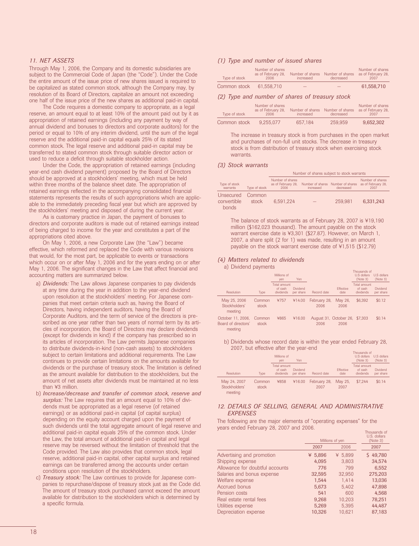#### *11. NET ASSETS*

Through May 1, 2006, the Company and its domestic subsidiaries are subject to the Commercial Code of Japan (the "Code"). Under the Code the entire amount of the issue price of new shares issued is required to be capitalized as stated common stock, although the Company may, by resolution of its Board of Directors, capitalize an amount not exceeding one half of the issue price of the new shares as additional paid-in capital.

The Code requires a domestic company to appropriate, as a legal reserve, an amount equal to at least 10% of the amount paid out by it as appropriation of retained earnings (including any payment by way of annual dividend and bonuses to directors and corporate auditors) for the period or equal to 10% of any interim dividend, until the sum of the legal reserve and the additional paid-in capital equals 25% of its stated common stock. The legal reserve and additional paid-in capital may be transferred to stated common stock through suitable director action or used to reduce a deficit through suitable stockholder action.

Under the Code, the appropriation of retained earnings (including year-end cash dividend payment) proposed by the Board of Directors should be approved at a stockholders' meeting, which must be held within three months of the balance sheet date. The appropriation of retained earnings reflected in the accompanying consolidated financial statements represents the results of such appropriations which are applicable to the immediately preceding fiscal year but which are approved by the stockholders' meeting and disposed of during the current year.

As is customary practice in Japan, the payment of bonuses to directors and corporate auditors is made out of retained earnings instead of being charged to income for the year and constitutes a part of the appropriations cited above.

On May 1, 2006, a new Corporate Law (the "Law") became effective, which reformed and replaced the Code with various revisions that would, for the most part, be applicable to events or transactions which occur on or after May 1, 2006 and for the years ending on or after May 1, 2006. The significant changes in the Law that affect financial and accounting matters are summarized below.

- a) *Dividends:* The Law allows Japanese companies to pay dividends at any time during the year in addition to the year-end dividend upon resolution at the stockholders' meeting. For Japanese companies that meet certain criteria such as, having the Board of Directors, having independent auditors, having the Board of Corporate Auditors, and the term of service of the directors is prescribed as one year rather than two years of normal term by its articles of incorporation, the Board of Directors may declare dividends (except for dividends in kind) if the company has prescribed so in its articles of incorporation. The Law permits Japanese companies to distribute dividends-in-kind (non-cash assets) to stockholders subject to certain limitations and additional requirements. The Law continues to provide certain limitations on the amounts available for dividends or the purchase of treasury stock. The limitation is defined as the amount available for distribution to the stockholders, but the amount of net assets after dividends must be maintained at no less than ¥3 million.
- b) *Increase/decrease and transfer of common stock, reserve and surplus:* The Law requires that an amount equal to 10% of dividends must be appropriated as a legal reserve (of retained earnings) or as additional paid-in capital (of capital surplus) depending on the equity account charged upon the payment of such dividends until the total aggregate amount of legal reserve and additional paid-in capital equals 25% of the common stock. Under the Law, the total amount of additional paid-in capital and legal reserve may be reversed without the limitation of threshold that the Code provided. The Law also provides that common stock, legal reserve, additional paid-in capital, other capital surplus and retained earnings can be transferred among the accounts under certain conditions upon resolution of the stockholders.
- c) *Treasury stock:* The Law continues to provide for Japanese companies to repurchase/dispose of treasury stock just as the Code did. The amount of treasury stock purchased cannot exceed the amount available for distribution to the stockholders which is determined by a specific formula.

#### *(1) Type and number of issued shares*

| Type of stock | Number of shares<br>as of February 28.<br>2006 | Number of shares<br>increased | Number of shares as of February 28,<br>decreased | Number of shares<br>2007 |
|---------------|------------------------------------------------|-------------------------------|--------------------------------------------------|--------------------------|
| Common stock  | 61.558.710                                     |                               |                                                  | 61.558.710               |

#### *(2) Type and number of shares of treasury stock*

| Type of stock | Number of shares<br>as of February 28.<br>2006 | Number of shares<br>increased | Number of shares<br>decreased | Number of shares<br>as of February 28.<br>2007 |
|---------------|------------------------------------------------|-------------------------------|-------------------------------|------------------------------------------------|
| Common stock  | 9.255.077                                      | 657.184                       | 259,959                       | 9.652.302                                      |

The increase in treasury stock is from purchases in the open market and purchases of non-full unit stocks. The decrease in treasury stock is from distribution of treasury stock when exercising stock warrants.

#### *(3) Stock warrants*

|                                   |                 | Number of shares subject to stock warrants     |           |                                                |                                                |
|-----------------------------------|-----------------|------------------------------------------------|-----------|------------------------------------------------|------------------------------------------------|
| Type of stock<br>warrants         | Type of stock   | Number of shares<br>as of February 28.<br>2006 | increased | Number of shares Number of shares<br>decreased | Number of shares<br>as of February 28.<br>2007 |
| Unsecured<br>convertible<br>bonds | Common<br>stock | 6.591.224                                      |           | 259.981                                        | 6.331.243                                      |

The balance of stock warrants as of February 28, 2007 is ¥19,190 million (\$162,023 thousand). The amount payable on the stock warrant exercise date is ¥3,301 (\$27.87). However, on March 1, 2007, a share split (2 for 1) was made, resulting in an amount payable on the stock warrant exercise date of ¥1,515 (\$12.79)

#### *(4) Matters related to dividends*

a) Dividend payments

|                                                      |                 | Millions of<br>yen                   | Yen                   |                      |                                        | Thousands of<br>U.S. dollars<br>(Note 3) | U.S. dollars<br>(Note 3)     |
|------------------------------------------------------|-----------------|--------------------------------------|-----------------------|----------------------|----------------------------------------|------------------------------------------|------------------------------|
| Resolution                                           | <b>Type</b>     | Total amount<br>of cash<br>dividends | Dividend<br>per share | Record date          | <b>Effective</b><br>date               | Total amount<br>of cash<br>dividends     | <b>Dividend</b><br>per share |
| May 25, 2006<br>Stockholders'<br>meeting             | Common<br>stock | ¥757                                 | ¥14.00                | February 28,<br>2006 | May 26.<br>2006                        | \$6,392                                  | \$0.12                       |
| October 11, 2006,<br>Board of directors'<br>momentum | Common<br>stock | ¥865                                 | ¥16.00                | 2006                 | August 31, October 26, \$7,303<br>2006 |                                          | \$0.14                       |

meeting

b) Dividends whose record date is within the year ended February 28, 2007, but effective after the year-end

|                                          |                 | Millions of<br>ven                   | Yen                   |                      |                   | Thousands of<br>U.S dollars<br>(Note 3) | U.S dollars<br>(Note 3)      |
|------------------------------------------|-----------------|--------------------------------------|-----------------------|----------------------|-------------------|-----------------------------------------|------------------------------|
| Resolution                               | <b>Type</b>     | Total amount<br>of cash<br>dividends | Dividend<br>per share | Record date          | Effective<br>date | Total amount<br>of cash<br>dividends    | <b>Dividend</b><br>per share |
| May 24, 2007<br>Stockholders'<br>meeting | Common<br>stock | ¥858                                 | ¥16.00                | February 28,<br>2007 | May 25.<br>2007   | \$7.244                                 | \$0.14                       |

#### *12. DETAILS OF SELLING, GENERAL AND ADMINISTRATIVE EXPENSES*

The following are the major elements of "operating expenses" for the years ended February 28, 2007 and 2006.

|                                 | Millions of yen | iiiuusuilus ul<br>U.S. dollars<br>(Note 3) |          |
|---------------------------------|-----------------|--------------------------------------------|----------|
|                                 | 2007            | 2006                                       | 2007     |
| Advertising and promotion       | ¥ 5,896         | ¥ 5.899                                    | \$49,780 |
| Shipping expense                | 4,095           | 3,803                                      | 34,574   |
| Allowance for doubtful accounts | 776             | 799                                        | 6,552    |
| Salaries and bonus expense      | 32,595          | 32.950                                     | 275,203  |
| Welfare expense                 | 1,544           | 1.414                                      | 13,036   |
| Accrued bonus                   | 5,673           | 5,402                                      | 47,898   |
| Pension costs                   | 541             | 600                                        | 4,568    |
| Real estate rental fees         | 9,268           | 10.203                                     | 78,251   |
| Utilities expense               | 5,269           | 5.395                                      | 44,487   |
| Depreciation expense            | 10,326          | 10,621                                     | 87,183   |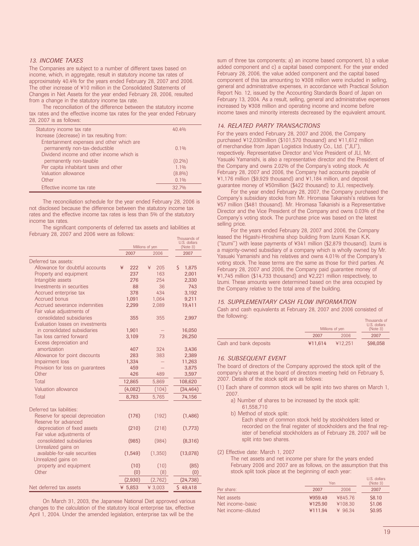#### *13. INCOME TAXES*

The Companies are subject to a number of different taxes based on income, which, in aggregate, result in statutory income tax rates of approximately 40.4% for the years ended February 28, 2007 and 2006. The other increase of ¥10 million in the Consolidated Statements of Changes in Net Assets for the year ended February 28, 2006, resulted from a change in the statutory income tax rate.

The reconciliation of the difference between the statutory income tax rates and the effective income tax rates for the year ended February 28, 2007 is as follows:

| Statutory income tax rate                  | 40.4%     |
|--------------------------------------------|-----------|
| Increase (decrease) in tax resulting from: |           |
| Entertainment expenses and other which are |           |
| permanently non-tax-deductible             | $0.1\%$   |
| Dividend income and other income which is  |           |
| permanently non-taxable                    | $(0.2\%)$ |
| Per capita inhabitant taxes and other      | $1.1\%$   |
| Valuation allowance                        | $(8.8\%)$ |
| Other                                      | 0.1%      |
| Effective income tax rate                  | 327%      |

The reconciliation schedule for the year ended February 28, 2006 is not disclosed because the difference between the statutory income tax rates and the effective income tax rates is less than 5% of the statutory income tax rates.

The significant components of deferred tax assets and liabilities at February 28, 2007 and 2006 were as follows:

|                                                               |          | Millions of yen | U.S. dollars<br>(Note 3) |
|---------------------------------------------------------------|----------|-----------------|--------------------------|
|                                                               | 2007     | 2006            | 2007                     |
| Deferred tax assets:                                          |          |                 |                          |
| Allowance for doubtful accounts                               | ¥<br>222 | 205<br>¥        | \$<br>1,875              |
| Property and equipment                                        | 237      | 163             | 2,001                    |
| Intangible assets                                             | 276      | 254             | 2,330                    |
| Investments in securities                                     | 88       | 36              | 743                      |
| Accrued enterprise tax                                        | 378      | 434             | 3,192                    |
| Accrued bonus                                                 | 1,091    | 1,064           | 9,211                    |
| Accrued severance indemnities<br>Fair value adjustments of    | 2,299    | 2,089           | 19,411                   |
| consolidated subsidiaries<br>Evaluation losses on investments | 355      | 355             | 2,997                    |
| in consolidated subsidiaries                                  | 1,901    |                 | 16,050                   |
| Tax loss carried forward<br>Excess depreciation and           | 3,109    | 73              | 26,250                   |
| amortization                                                  | 407      | 324             | 3,436                    |
| Allowance for point discounts                                 | 283      | 383             | 2,389                    |
| Impairment loss                                               | 1,334    |                 | 11,263                   |
| Provision for loss on quarantees                              | 459      |                 | 3,875                    |
| Other                                                         | 426      | 489             | 3,597                    |
| Total                                                         | 12,865   | 5,869           | 108,620                  |
| Valuation allowance                                           | (4,082)  | (104)           | (34, 464)                |
| Total                                                         | 8,783    | 5,765           | 74,156                   |
| Deferred tax liabilities:                                     |          |                 |                          |
| Reserve for special depreciation<br>Reserve for advanced      | (176)    | (192)           | (1,486)                  |
| depreciation of fixed assets<br>Fair value adjustments of     | (210)    | (218)           | (1,773)                  |
| consolidated subsidiaries<br>Unrealized gains on              | (985)    | (984)           | (8,316)                  |
| available-for-sale securities<br>Unrealized gains on          | (1, 549) | (1, 350)        | (13,078)                 |
| property and equipment                                        | (10)     | (10)            | (85)                     |
| Other                                                         | (0)      | (8)             | (0)                      |
|                                                               | (2,930)  | (2,762)         | (24, 738)                |
| Net deferred tax assets                                       | ¥ 5,853  | ¥ 3,003         | \$49,418                 |

On March 31, 2003, the Japanese National Diet approved various changes to the calculation of the statutory local enterprise tax, effective April 1, 2004. Under the amended legislation, enterprise tax will be the

sum of three tax components; a) an income based component, b) a value added component and c) a capital based component. For the year ended February 28, 2006, the value added component and the capital based component of this tax amounting to ¥308 million were included in selling, general and administrative expenses, in accordance with Practical Solution Report No. 12, issued by the Accounting Standards Board of Japan on February 13, 2004. As a result, selling, general and administrative expenses increased by ¥308 million and operating income and income before income taxes and minority interests decreased by the equivalent amount.

#### *14. RELATED PARTY TRANSACTIONS*

For the years ended February 28, 2007 and 2006, the Company purchased ¥12,030million (\$101,570 thousand) and ¥11,612 million of merchandise from Japan Logistics Industry Co., Ltd. ("JLI"), respectively. Representative Director and Vice President of JLI, Mr. Yasuaki Yamanishi, is also a representative director and the President of the Company and owns 2.02% of the Company's voting stock. At February 28, 2007 and 2006, the Company had accounts payable of ¥1,176 million (\$9,929 thousand) and ¥1,184 million, and deposit guarantee money of ¥50million (\$422 thousand) to JLI, respectively.

For the year ended February 28, 2007, the Company purchased the Company's subsidiary stocks from Mr. Hiromasa Takanishi's relatives for ¥57 million (\$481 thousand). Mr. Hiromasa Takanishi is a Representative Director and the Vice President of the Company and owns 0.03% of the Company's voting stock. The purchase price was based on the latest selling price.

For the years ended February 28, 2007 and 2006, the Company leased the Higashi-Hiroshima shop building from Izumi Kosan K.K. ("Izumi") with lease payments of ¥341 million (\$2,879 thousand). Izumi is a majority-owned subsidiary of a company which is wholly owned by Mr. Yasuaki Yamanishi and his relatives and owns 4.01% of the Company's voting stock. The lease terms are the same as those for third parties. At February 28, 2007 and 2006, the Company paid guarantee money of ¥1,745 million (\$14,733 thousand) and ¥2,221 million respectively, to Izumi. These amounts were determined based on the area occupied by the Company relative to the total area of the building.

#### *15. SUPPLEMENTARY CASH FLOW INFORMATION*

Cash and cash equivalents at February 28, 2007 and 2006 consisted of the following: The state of the state of the state of the state of the state of the state of the state of the state of the state of the state of the state of the state of the state of the state of the state of the state of

|                        |         | Millions of yen | <b>TIUTULIU</b><br>U.S. dollars<br>(Note 3) |
|------------------------|---------|-----------------|---------------------------------------------|
|                        | 2007    | 2006            | 2007                                        |
| Cash and bank deposits | ¥11.614 | ¥12.251         | \$98,058                                    |

#### *16. SUBSEQUENT EVENT*

The board of directors of the Company approved the stock split of the company's shares at the board of directors meeting held on February 5, 2007. Details of the stock split are as follows:

- (1) Each share of common stock will be split into two shares on March 1, 2007.
	- a) Number of shares to be increased by the stock split: 61,558,710
	- b) Method of stock split:

Each share of common stock held by stockholders listed or recorded on the final register of stockholders and the final register of beneficial stockholders as of February 28, 2007 will be split into two shares.

#### (2) Effective date: March 1, 2007

The net assets and net income per share for the years ended February 2006 and 2007 are as follows, on the assumption that this stock split took place at the beginning of each year:

|                    |         | Yen     | U.S. dollars<br>(Note 3) |
|--------------------|---------|---------|--------------------------|
| Per share:         | 2007    | 2006    | 2007                     |
| Net assets         | ¥959.49 | ¥845.76 | \$8.10                   |
| Net income-basic   | ¥125.90 | ¥108.30 | \$1.06                   |
| Net income-diluted | ¥111.94 | ¥ 96.34 | \$0.95                   |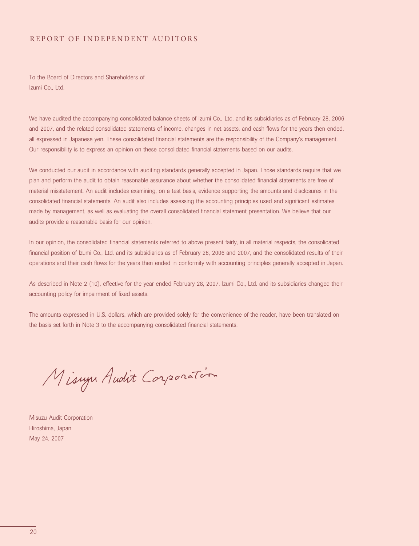#### REPORT OF INDEPENDENT AUDITORS

To the Board of Directors and Shareholders of Izumi Co., Ltd.

We have audited the accompanying consolidated balance sheets of Izumi Co., Ltd. and its subsidiaries as of February 28, 2006 and 2007, and the related consolidated statements of income, changes in net assets, and cash flows for the years then ended, all expressed in Japanese yen. These consolidated financial statements are the responsibility of the Company's management. Our responsibility is to express an opinion on these consolidated financial statements based on our audits.

We conducted our audit in accordance with auditing standards generally accepted in Japan. Those standards require that we plan and perform the audit to obtain reasonable assurance about whether the consolidated financial statements are free of material misstatement. An audit includes examining, on a test basis, evidence supporting the amounts and disclosures in the consolidated financial statements. An audit also includes assessing the accounting principles used and significant estimates made by management, as well as evaluating the overall consolidated financial statement presentation. We believe that our audits provide a reasonable basis for our opinion.

In our opinion, the consolidated financial statements referred to above present fairly, in all material respects, the consolidated financial position of Izumi Co., Ltd. and its subsidiaries as of February 28, 2006 and 2007, and the consolidated results of their operations and their cash flows for the years then ended in conformity with accounting principles generally accepted in Japan.

As described in Note 2 (10), effective for the year ended February 28, 2007, Izumi Co., Ltd. and its subsidiaries changed their accounting policy for impairment of fixed assets.

The amounts expressed in U.S. dollars, which are provided solely for the convenience of the reader, have been translated on the basis set forth in Note 3 to the accompanying consolidated financial statements.

Misurya Audit Corporation

Misuzu Audit Corporation Hiroshima, Japan May 24, 2007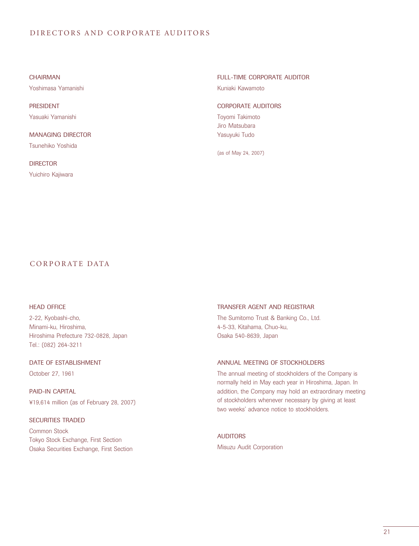#### DIRECTORS AND CORPORATE AUDITORS

CHAIRMAN Yoshimasa Yamanishi

PRESIDENT Yasuaki Yamanishi

MANAGING DIRECTOR Tsunehiko Yoshida

**DIRECTOR** Yuichiro Kajiwara FULL-TIME CORPORATE AUDITOR

Kuniaki Kawamoto

#### CORPORATE AUDITORS

Toyomi Takimoto Jiro Matsubara Yasuyuki Tudo

(as of May 24, 2007)

#### CORPOR ATE DATA

#### HEAD OFFICE

2-22, Kyobashi-cho, Minami-ku, Hiroshima, Hiroshima Prefecture 732-0828, Japan Tel.: (082) 264-3211

### DATE OF ESTABLISHMENT

October 27, 1961

PAID-IN CAPITAL ¥19,614 million (as of February 28, 2007)

#### SECURITIES TRADED

Common Stock Tokyo Stock Exchange, First Section Osaka Securities Exchange, First Section

#### TRANSFER AGENT AND REGISTRAR

The Sumitomo Trust & Banking Co., Ltd. 4-5-33, Kitahama, Chuo-ku, Osaka 540-8639, Japan

#### ANNUAL MEETING OF STOCKHOLDERS

The annual meeting of stockholders of the Company is normally held in May each year in Hiroshima, Japan. In addition, the Company may hold an extraordinary meeting of stockholders whenever necessary by giving at least two weeks' advance notice to stockholders.

#### **AUDITORS**

Misuzu Audit Corporation